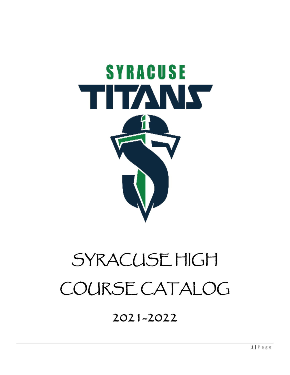

# SYRACUSE HIGH COURSE CATALOG

# 2021-2022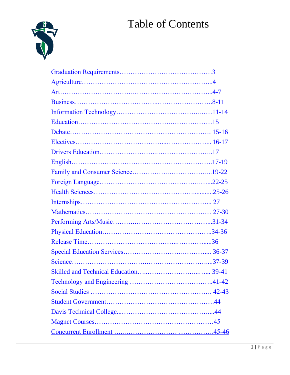# Table of Contents

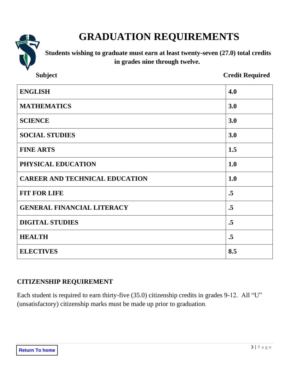

# **GRADUATION REQUIREMENTS**

<span id="page-2-0"></span>**Students wishing to graduate must earn at least twenty-seven (27.0) total credits in grades nine through twelve.**

| <b>Subject</b>                        | <b>Credit Required</b> |  |  |  |
|---------------------------------------|------------------------|--|--|--|
| <b>ENGLISH</b>                        | 4.0                    |  |  |  |
| <b>MATHEMATICS</b>                    | 3.0                    |  |  |  |
| <b>SCIENCE</b>                        | 3.0                    |  |  |  |
| <b>SOCIAL STUDIES</b>                 | 3.0                    |  |  |  |
| <b>FINE ARTS</b>                      | 1.5                    |  |  |  |
| PHYSICAL EDUCATION                    | 1.0                    |  |  |  |
| <b>CAREER AND TECHNICAL EDUCATION</b> | 1.0                    |  |  |  |
| <b>FIT FOR LIFE</b>                   | $\overline{.5}$        |  |  |  |
| <b>GENERAL FINANCIAL LITERACY</b>     | .5                     |  |  |  |
| <b>DIGITAL STUDIES</b>                | .5                     |  |  |  |
| <b>HEALTH</b>                         | .5                     |  |  |  |
| <b>ELECTIVES</b>                      | 8.5                    |  |  |  |

# **CITIZENSHIP REQUIREMENT**

Each student is required to earn thirty-five (35.0) citizenship credits in grades 9-12. All "U" (unsatisfactory) citizenship marks must be made up prior to graduation.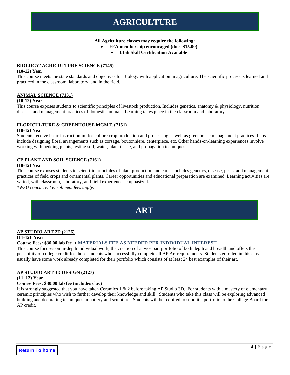#### **All Agriculture classes may require the following:**

- **FFA membership encouraged (dues \$15.00)**
	- **Utah Skill Certification Available**

#### **BIOLOGY/ AGRICULTURE SCIENCE (7145)**

#### **(10-12) Year**

This course meets the state standards and objectives for Biology with application in agriculture. The scientific process is learned and practiced in the classroom, laboratory, and in the field.

#### **ANIMAL SCIENCE (7131)**

#### **(10-12) Year**

This course exposes students to scientific principles of livestock production. Includes genetics, anatomy & physiology, nutrition, disease, and management practices of domestic animals. Learning takes place in the classroom and laboratory.

#### **FLORICULTURE & GREENHOUSE MGMT. (7151)**

#### **(10-12) Year**

Students receive basic instruction in floriculture crop production and processing as well as greenhouse management practices. Labs include designing floral arrangements such as corsage, boutonniere, centerpiece, etc. Other hands-on-learning experiences involve working with bedding plants, testing soil, water, plant tissue, and propagation techniques.

#### **CE PLANT AND SOIL SCIENCE (7161)**

#### **(10-12) Year**

This course exposes students to scientific principles of plant production and care. Includes genetics, disease, pests, and management practices of field crops and ornamental plants. Career opportunities and educational preparation are examined. Learning activities are varied, with classroom, laboratory, and field experiences emphasized.

<span id="page-3-0"></span>*\*WSU concurrent enrollment fees apply.*

# **ART**

#### **AP STUDIO ART 2D (2126)**

#### **(11-12) Year**

#### **Course Fees: \$30.00 lab fee + MATERIALS FEE AS NEEDED PER INDIVIDUAL INTEREST**

This course focuses on in-depth individual work, the creation of a two- part portfolio of both depth and breadth and offers the possibility of college credit for those students who successfully complete all AP Art requirements. Students enrolled in this class usually have some work already completed for their portfolio which consists of at least 24 best examples of their art.

#### **AP STUDIO ART 3D DESIGN (2127)**

#### **(11, 12) Year**

#### **Course Fees: \$30.00 lab fee (includes clay)**

It is strongly suggested that you have taken Ceramics 1 & 2 before taking AP Studio 3D. For students with a mastery of elementary ceramic principles who wish to further develop their knowledge and skill. Students who take this class will be exploring advanced building and decorating techniques in pottery and sculpture. Students will be required to submit a portfolio to the College Board for AP credit.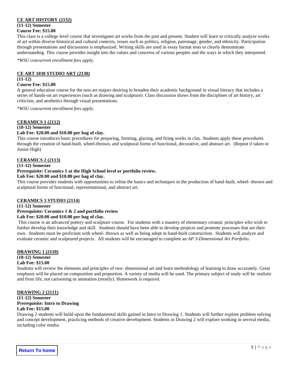#### **CE ART HISTORY (2132)**

#### **(11-12) Semester Course Fee: \$15.00**

This class is a college level course that investigates art works from the past and present. Student will learn to critically analyze works of art within diverse historical and cultural contexts, issues such as politics, religion, patronage, gender, and ethnicity. Participation through presentations and discussions is emphasized. Writing skills are used in essay format tests to clearly demonstrate understanding. This course provides insight into the values and concerns of various peoples and the ways in which they interpreted.

*\*WSU concurrent enrollment fees apply.*

# **CE ART 1030 STUDIO ART (2130)**

#### **(11-12)**

#### **Course Fee: \$15.00**

A general education course for the non-art majors desiring to broaden their academic background in visual literacy that includes a series of hands-on art experiences (such as drawing and sculpture). Class discussion draws from the disciplines of art history, art criticism, and aesthetics through visual presentations.

*\*WSU concurrent enrollment fees apply.*

#### **CERAMICS 1 (2112)**

#### **(10-12) Semester**

#### **Lab Fee: \$20.00 and \$10.00 per bag of clay.**

This course introduces basic procedures for preparing, forming, glazing, and firing works in clay. Students apply these procedures through the creation of hand-built, wheel-thrown, and sculptural forms of functional, decorative, and abstract art. (Repeat if taken in Junior High)

#### **CERAMICS 2 (2113)**

#### **(11-12) Semester**

#### **Prerequisite: Ceramics 1 at the High School level or portfolio review.**

#### **Lab Fee: \$20.00 and \$10.00 per bag of clay.**

This course provides students with opportunities to refine the basics and techniques in the production of hand-built, wheel- thrown and sculptural forms of functional, representational, and abstract art.

#### **CERAMICS 3 STUDIO (2114)**

#### **(11-12) Semester Prerequisite: Ceramics 1 & 2 and portfolio review Lab Fee: \$20.00 and \$10.00 per bag of clay.**

This course is an advanced pottery and sculpture course. For students with a mastery of elementary ceramic principles who wish to further develop their knowledge and skill. Students should have been able to develop projects and promote processes that are their own. Students must be proficient with wheel- thrown as well as being adept in hand-built construction. Students will analyze and evaluate ceramic and sculptured projects. All students will be encouraged to complete an *AP 3-Dimensional Art Portfolio.* 

# **DRAWING 1 (2110)**

#### **(10-12) Semester Lab Fee: \$15.00**

Students will review the elements and principles of two- dimensional art and learn methodology of learning to draw accurately. Great emphasis will be placed on composition and proportion. A variety of media will be used. The primary subject of study will be realistic and from life, not cartooning or animation (mostly). Homework is required.

#### **DRAWING 2 (2111) (11-12) Semester**

#### **Prerequisite: Intro to Drawing Lab Fee: \$15.00**

Drawing 2 students will build upon the fundamental skills gained in Intro to Drawing 1. Students will further explore problem solving and concept development, practicing methods of creative development. Students in Drawing 2 will explore working in several media, including color media.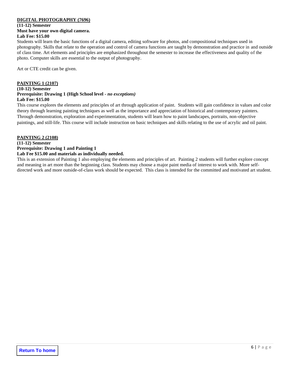#### **DIGITAL PHOTOGRAPHY (7696)**

#### **(11-12) Semester Must have your own digital camera. Lab Fee: \$15.00**

Students will learn the basic functions of a digital camera, editing software for photos, and compositional techniques used in photography. Skills that relate to the operation and control of camera functions are taught by demonstration and practice in and outside of class time. Art elements and principles are emphasized throughout the semester to increase the effectiveness and quality of the photo. Computer skills are essential to the output of photography.

Art or CTE credit can be given.

#### **PAINTING 1 (2107)**

#### **(10-12) Semester**

#### **Prerequisite: Drawing 1 (High School level -** *no exceptions)* **Lab Fee: \$15.00**

This course explores the elements and principles of art through application of paint. Students will gain confidence in values and color theory through learning painting techniques as well as the importance and appreciation of historical and contemporary painters. Through demonstration, exploration and experimentation, students will learn how to paint landscapes, portraits, non-objective paintings, and still-life. This course will include instruction on basic techniques and skills relating to the use of acrylic and oil paint.

#### **PAINTING 2 (2108)**

#### **(11-12) Semester Prerequisite: Drawing 1 and Painting 1 Lab Fee \$15.00 and materials as individually needed.**

This is an extension of Painting 1 also employing the elements and principles of art. Painting 2 students will further explore concept and meaning in art more than the beginning class. Students may choose a major paint media of interest to work with. More selfdirected work and more outside-of-class work should be expected. This class is intended for the committed and motivated art student.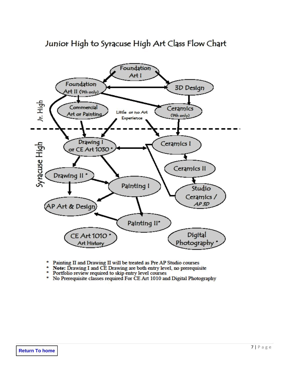# Junior High to Syracuse High Art Class Flow Chart



- Painting II and Drawing II will be treated as Pre AP Studio courses
- Note: Drawing I and CE Drawing are both entry level, no prerequisite
- Portfolio review required to skip entry level courses
- \* No Prerequisite classes required For CE Art 1010 and Digital Photography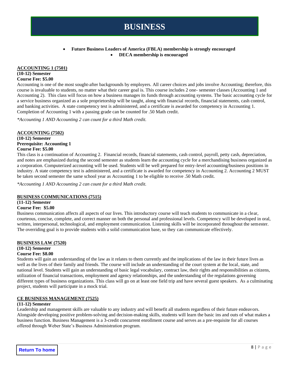# **BUSINESS**

#### • **Future Business Leaders of America (FBLA) membership is strongly encouraged** • **DECA membership is encouraged**

#### <span id="page-7-0"></span>**ACCOUNTING 1 (7501)**

#### **(10-12) Semester Course Fee: \$5.00**

Accounting is one of the most sought-after backgrounds by employers. All career choices and jobs involve Accounting; therefore, this course is invaluable to students, no matter what their career goal is. This course includes 2 one- semester classes (Accounting 1 and Accounting 2). This class will focus on how a business manages its funds through accounting systems. The basic accounting cycle for a service business organized as a sole proprietorship will be taught, along with financial records, financial statements, cash control, and banking activities. A state competency test is administered, and a certificate is awarded for competency in Accounting 1. Completion of Accounting 1 with a passing grade can be counted for .50 Math credit.

*\*Accounting 1 AND Accounting 2 can count for a third Math credit.*

#### **ACCOUNTING (7502) (10-12) Semester**

**Prerequisite: Accounting 1 Course Fee: \$5.00**

This class is a continuation of Accounting 2. Financial records, financial statements, cash control, payroll, petty cash, depreciation, and notes are emphasized during the second semester as students learn the accounting cycle for a merchandising business organized as a corporation. Computerized accounting will be used. Students will be well prepared for entry-level accounting/business positions in industry. A state competency test is administered, and a certificate is awarded for competency in Accounting 2. Accounting 2 MUST be taken second semester the same school year as Accounting 1 to be eligible to receive .50 Math credit.

*\*Accounting 1 AND Accounting 2 can count for a third Math credit.*

#### **BUSINESS COMMUNICATIONS (7515)**

### **(11-12) Semester**

#### **Course Fee: \$5.00**

Business communication affects all aspects of our lives. This introductory course will teach students to communicate in a clear, courteous, concise, complete, and correct manner on both the personal and professional levels. Competency will be developed in oral, written, interpersonal, technological, and employment communication. Listening skills will be incorporated throughout the semester. The overriding goal is to provide students with a solid communication base, so they can communicate effectively.

#### **BUSINESS LAW (7520)**

#### **(10-12) Semester**

#### **Course Fee: \$8.00**

Students will gain an understanding of the law as it relates to them currently and the implications of the law in their future lives as well as the lives of their family and friends. The course will include an understanding of the court system at the local, state, and national level. Students will gain an understanding of basic legal vocabulary, contract law, their rights and responsibilities as citizens, utilization of financial transactions, employment and agency relationships, and the understanding of the regulations governing different types of business organizations. This class will go on at least one field trip and have several guest speakers. As a culminating project, students will participate in a mock trial.

#### **CE BUSINESS MANAGEMENT (7525)**

#### **(11-12) Semester**

Leadership and management skills are valuable to any industry and will benefit all students regardless of their future endeavors. Alongside developing positive problem-solving and decision-making skills, students will learn the basic ins and outs of what makes a business function. Business Management is a 3-credit concurrent enrollment course and serves as a pre-requisite for all courses offered through Weber State's Business Administration program.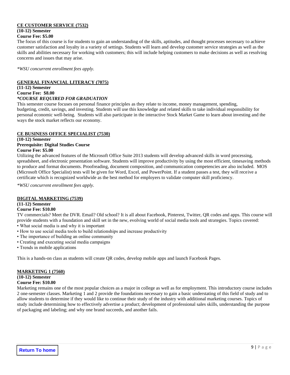#### **CE CUSTOMER SERVICE (7532)**

# **(10-12) Semester**

#### **Course Fee: \$5.00**

The focus of this course is for students to gain an understanding of the skills, aptitudes, and thought processes necessary to achieve customer satisfaction and loyalty in a variety of settings. Students will learn and develop customer service strategies as well as the skills and abilities necessary for working with customers; this will include helping customers to make decisions as well as resolving concerns and issues that may arise.

*\*WSU concurrent enrollment fees apply.*

#### **GENERAL FINANCIAL LITERACY (7075)**

**(11-12) Semester Course Fee: \$8.00**

#### *\*COURSE REQUIRED FOR GRADUATION*

This semester course focuses on personal finance principles as they relate to income, money management, spending, budgeting, credit, savings, and investing. Students will use this knowledge and related skills to take individual responsibility for personal economic well-being. Students will also participate in the interactive Stock Market Game to learn about investing and the ways the stock market reflects our economy.

#### **CE BUSINESS OFFICE SPECIALIST (7530)**

#### **(10-12) Semester Prerequisite: Digital Studies Course Course Fee: \$5.00**

Utilizing the advanced features of the Microsoft Office Suite 2013 students will develop advanced skills in word processing, spreadsheet, and electronic presentation software. Students will improve productivity by using the most efficient, timesaving methods to produce and format documents. Proofreading, document composition, and communication competencies are also included. MOS (Microsoft Office Specialist) tests will be given for Word, Excel, and PowerPoint. If a student passes a test, they will receive a certificate which is recognized worldwide as the best method for employers to validate computer skill proficiency.

*\*WSU concurrent enrollment fees apply.*

#### **DIGITAL MARKETING (7539)**

### **(11-12) Semester**

#### **Course Fee: \$10.00**

TV commercials? Meet the DVR. Email? Old school? It is all about Facebook, Pinterest, Twitter, QR codes and apps. This course will provide students with a foundation and skill set in the new, evolving world of social media tools and strategies. Topics covered: • What social media is and why it is important

- How to use social media tools to build relationships and increase productivity
- The importance of building an online community
- Creating and executing social media campaigns
- Trends in mobile applications

This is a hands-on class as students will create QR codes, develop mobile apps and launch Facebook Pages.

#### **MARKETING 1 (7560)**

#### **(10-12) Semester**

#### **Course Fee: \$10.00**

Marketing remains one of the most popular choices as a major in college as well as for employment. This introductory course includes 2 one-semester classes. Marketing 1 and 2 provide the foundations necessary to gain a basic understating of this field of study and to allow students to determine if they would like to continue their study of the industry with additional marketing courses. Topics of study include determining how to effectively advertise a product; development of professional sales skills, understanding the purpose of packaging and labeling; and why one brand succeeds, and another fails.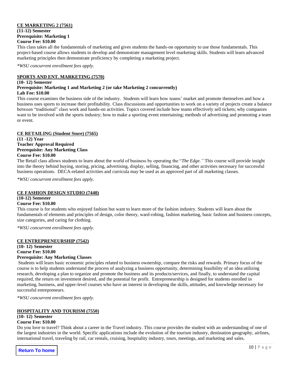#### **CE MARKETING 2 (7561) (11-12) Semester Prerequisite: Marketing 1 Course Fee: \$10.00**

This class takes all the fundamentals of marketing and gives students the hands-on opportunity to use those fundamentals. This project-based course allows students to develop and demonstrate management level marketing skills. Students will learn advanced marketing principles then demonstrate proficiency by completing a marketing project.

*\*WSU concurrent enrollment fees apply.*

#### **SPORTS AND ENT. MARKETING (7570)**

#### **(10- 12) Semester**

#### **Prerequisite: Marketing 1 and Marketing 2 (or take Marketing 2 concurrently)**

#### **Lab Fee: \$10.00**

This course examines the business side of the industry. Students will learn how teams' market and promote themselves and how a business uses sports to increase their profitability. Class discussions and opportunities to work on a variety of projects create a balance between "traditional" class work and hands-on activities. Topics covered include how teams effectively sell tickets; why companies want to be involved with the sports industry; how to make a sporting event entertaining; methods of advertising and promoting a team or event.

#### **CE RETAILING (Student Store) (7565)**

#### **(11 -12) Year Teacher Approval Required Prerequisite: Any Marketing Class Course Fee: \$10.00**

The Retail class allows students to learn about the world of business by operating the "*The Edge."* This course will provide insight into the theory behind buying, storing, pricing, advertising, display, selling, financing, and other activities necessary for successful business operations. DECA-related activities and curricula may be used as an approved part of all marketing classes.

*\*WSU concurrent enrollment fees apply.*

#### **CE FASHION DESIGN STUDIO (7440)**

**(10-12) Semester**

#### **Course Fee: \$10.00**

This course is for students who enjoyed fashion but want to learn more of the fashion industry. Students will learn about the fundamentals of elements and principles of design, color theory, ward-robing, fashion marketing, basic fashion and business concepts, size categories, and caring for clothing.

*\*WSU concurrent enrollment fees apply.*

#### **CE ENTREPRENEURSHIP (7542)**

**(10- 12) Semester Course Fee: \$10.00**

#### **Prerequisite: Any Marketing Classes**

Students will learn basic economic principles related to business ownership, compare the risks and rewards. Primary focus of the course is to help students understand the process of analyzing a business opportunity, determining feasibility of an idea utilizing research, developing a plan to organize and promote the business and its products/services, and finally, to understand the capital required, the return on investment desired, and the potential for profit. Entrepreneurship is designed for students enrolled in marketing, business, and upper-level courses who have an interest in developing the skills, attitudes, and knowledge necessary for successful entrepreneurs.

*\*WSU concurrent enrollment fees apply.*

#### **HOSPITALITY AND TOURISM (7550)**

#### **(10- 12) Semester Course Fee: \$10.00**

Do you love to travel? Think about a career in the Travel industry. This course provides the student with an understanding of one of the largest industries in the world. Specific applications include the evolution of the tourism industry, destination geography, airlines, international travel, traveling by rail, car rentals, cruising, hospitality industry, tours, meetings, and marketing and sales.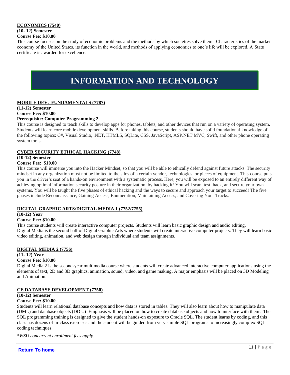#### **ECONOMICS (7540) (10- 12) Semester Course Fee: \$10.00**

This course focuses on the study of economic problems and the methods by which societies solve them. Characteristics of the market economy of the United States, its function in the world, and methods of applying economics to one's life will be explored. A State certificate is awarded for excellence.

# **INFORMATION AND TECHNOLOGY**

#### <span id="page-10-0"></span>**MOBILE DEV. FUNDAMENTALS (7787)**

**(11-12) Semester Course Fee: \$10.00**

### **Prerequisite: Computer Programming 2**

This course is designed to teach skills to develop apps for phones, tablets, and other devices that run on a variety of operating system. Students will learn core mobile development skills. Before taking this course, students should have solid foundational knowledge of the following topics: C#, Visual Studio, .NET, HTML5, SQLite, CSS, JavaScript, ASP.NET MVC, Swift, and other phone operating system tools.

#### **CYBER SECURITY ETHICAL HACKING (7748)**

#### **(10-12) Semester**

#### **Course Fee: \$10.00**

This course will immerse you into the Hacker Mindset, so that you will be able to ethically defend against future attacks. The security mindset in any organization must not be limited to the silos of a certain vendor, technologies, or pieces of equipment. This course puts you in the driver's seat of a hands-on environment with a systematic process. Here, you will be exposed to an entirely different way of achieving optimal information security posture in their organization, by hacking it! You will scan, test, hack, and secure your own systems. You will be taught the five phases of ethical hacking and the ways to secure and approach your target to succeed! The five phases include Reconnaissance, Gaining Access, Enumeration, Maintaining Access, and Covering Your Tracks.

#### **DIGITAL GRAPHIC ARTS/DIGITAL MEDIA 1 (7752/7755)**

#### **(10-12) Year**

#### **Course Fee: \$10.00**

This course students will create interactive computer projects. Students will learn basic graphic design and audio editing. Digital Media is the second half of Digital Graphic Arts where students will create interactive computer projects. They will learn basic video editing, animation, and web design through individual and team assignments.

#### **DIGITAL MEDIA 2 (7756)**

#### **(11- 12) Year**

#### **Course Fee: \$10.00**

Digital Media 2 is the second-year multimedia course where students will create advanced interactive computer applications using the elements of text, 2D and 3D graphics, animation, sound, video, and game making. A major emphasis will be placed on 3D Modeling and Animation.

#### **CE DATABASE DEVELOPMENT (7750)**

### **(10-12) Semester**

#### **Course Fee: \$10.00**

Students will learn relational database concepts and how data is stored in tables. They will also learn about how to manipulate data (DML) and database objects (DDL.) Emphasis will be placed on how to create database objects and how to interface with them. The SQL programming training is designed to give the student hands-on exposure to Oracle SQL. The student learns by coding, and this class has dozens of in-class exercises and the student will be guided from very simple SQL programs to increasingly complex SQL coding techniques.

*\*WSU concurrent enrollment fees apply.*

**Return To home**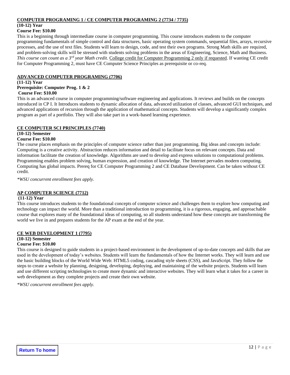#### **COMPUTER PROGRAMING 1 / CE COMPUTER PROGRAMING 2 (7734 / 7735)**

#### **(10-12) Year**

#### **Course Fee: \$10.00**

This is a beginning through intermediate course in computer programming. This course introduces students to the computer programming fundamentals of simple control and data structures, basic operating system commands, sequential files, arrays, recursive processes, and the use of text files. Students will learn to design, code, and test their own programs. Strong Math skills are required, and problem-solving skills will be stressed with students solving problems in the areas of Engineering, Science, Math and Business. *This course can count as a 3rd year Math credit.* College credit for Computer Programming 2 only if requested. If wanting CE credit for Computer Programming 2, must have CE Computer Science Principles as prerequisite or co-req.

#### **ADVANCED COMPUTER PROGRAMING (7706)**

#### **(11-12) Year Prerequisite: Computer Prog. 1 & 2**

# **Course Fee: \$10.00**

This is an advanced course in computer programming/software engineering and applications. It reviews and builds on the concepts introduced in CP I. It Introduces students to dynamic allocation of data, advanced utilization of classes, advanced GUI techniques, and advanced applications of recursion through the application of mathematical concepts. Students will develop a significantly complex program as part of a portfolio. They will also take part in a work-based learning experience.

#### **CE COMPUTER SCI PRINCIPLES (7740)**

#### **(10-12) Semester**

#### **Course Fee: \$10.00**

The course places emphasis on the principles of computer science rather than just programming. Big ideas and concepts include: Computing is a creative activity. Abstraction reduces information and detail to facilitate focus on relevant concepts. Data and information facilitate the creation of knowledge. Algorithms are used to develop and express solutions to computational problems. Programming enables problem solving, human expression, and creation of knowledge. The Internet pervades modern computing. Computing has global impacts. Prereq for CE Computer Programming 2 and CE Database Development. Can be taken without CE credit.

*\*WSU concurrent enrollment fees apply.*

#### **AP COMPUTER SCIENCE (7712)**

#### **(11-12) Year**

This course introduces students to the foundational concepts of computer science and challenges them to explore how computing and technology can impact the world. More than a traditional introduction to programming, it is a rigorous, engaging, and approachable course that explores many of the foundational ideas of computing, so all students understand how these concepts are transforming the world we live in and prepares students for the AP exam at the end of the year.

#### **CE WEB DEVELOPMENT 1 (7795)**

#### **(10-12) Semester**

#### **Course Fee: \$10.00**

This course is designed to guide students in a project-based environment in the development of up-to-date concepts and skills that are used in the development of today's websites. Students will learn the fundamentals of how the Internet works. They will learn and use the basic building blocks of the World Wide Web: HTML5 coding, cascading style sheets (CSS), and JavaScript. They follow the steps to create a website by planning, designing, developing, deploying, and maintaining of the website projects. Students will learn and use different scripting technologies to create more dynamic and interactive websites. They will learn what it takes for a career in web development as they complete projects and create their own website.

*\*WSU concurrent enrollment fees apply.*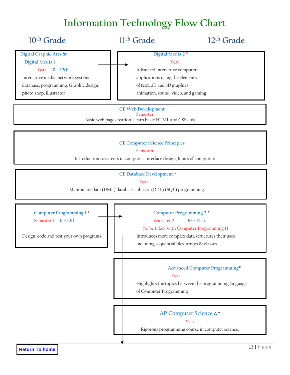# **Information Technology Flow Chart**

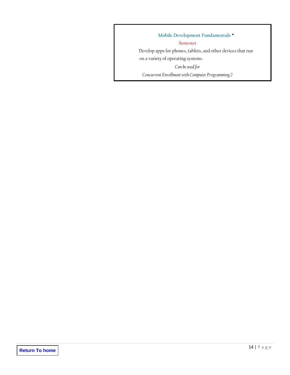**Mobile Development Fundamentals \*** Semester Develop apps for phones, tablets, and other devices that run on a variety of operating systems. *Can be used for Concurrent Enrollment with Computer Programming 2*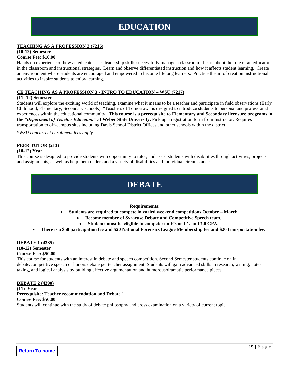# **EDUCATION**

#### <span id="page-14-0"></span>**TEACHING AS A PROFESSION 2 (7216)**

#### **(10-12) Semester**

#### **Course Fee: \$10.00**

Hands on experience of how an educator uses leadership skills successfully manage a classroom. Learn about the role of an educator in the classroom and instructional strategies. Learn and observe differentiated instruction and how it affects student learning. Create an environment where students are encouraged and empowered to become lifelong learners. Practice the art of creation instructional activities to inspire students to enjoy learning.

#### **CE TEACHING AS A PROFESSION 3 - INTRO TO EDUCATION – WSU (7217)**

#### **(11- 12) Semester**

Students will explore the exciting world of teaching, examine what it means to be a teacher and participate in field observations (Early Childhood, Elementary, Secondary schools). "Teachers of Tomorrow" is designed to introduce students to personal and professional experiences within the educational community**. This course is a prerequisite to Elementary and Secondary licensure programs in the** *"Department of Teacher Education"* **at Weber State University.** Pick up a registration form from Instructor. Requires transportation to off-campus sites including Davis School District Offices and other schools within the district

*\*WSU concurrent enrollment fees apply.*

#### **PEER TUTOR (213)**

#### **(10-12) Year**

<span id="page-14-1"></span>This course is designed to provide students with opportunity to tutor, and assist students with disabilities through activities, projects, and assignments, as well as help them understand a variety of disabilities and individual circumstances.

# **DEBATE**

#### **Requirements:**

- **Students are required to compete in varied weekend competitions October – March**
	- **Become member of Syracuse Debate and Competitive Speech team.**
		- **Students must be eligible to compete: no F's or U's and 2.0 GPA.**
- **There is a \$50 participation fee and \$20 National Forensics League Membership fee and \$20 transportation fee.**

#### **DEBATE 1 (4385)**

# **(10-12) Semester**

#### **Course Fee: \$50.00**

This course for students with an interest in debate and speech competition. Second Semester students continue on in debate/competitive speech or honors debate per teacher assignment. Students will gain advanced skills in research, writing, notetaking, and logical analysis by building effective argumentation and humorous/dramatic performance pieces.

#### **DEBATE 2 (4390)**

**(11) Year Prerequisite: Teacher recommendation and Debate 1 Course Fee: \$50.00** Students will continue with the study of debate philosophy and cross examination on a variety of current topic.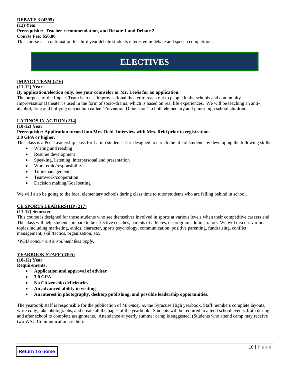#### **DEBATE 3 (4395)**

#### **(12) Year Prerequisite: Teacher recommendation, and Debate 1 and Debate 2 Course Fee: \$50.00**

<span id="page-15-0"></span>This course is a continuation for third year debate students interested in debate and speech competition.

# **ELECTIVES**

#### **IMPACT TEAM (216)**

#### **(11-12) Year**

#### **By application/election only. See your counselor or Mr. Lewis for an application.**

The purpose of the Impact Team is to use improvisational theater to reach out to people in the schools and community. Improvisational theater is used in the form of socio-drama, which is based on real life experiences. We will be teaching an antialcohol, drug and bullying curriculum called 'Prevention Dimension' to both elementary and junior high school children.

#### **LATINOS IN ACTION (214)**

#### **(10-12) Year Prerequisite: Application turned into Mrs. Reid. Interview with Mrs. Reid prior to registration. 2.0 GPA or higher.**

This class is a Peer Leadership class for Latino students. It is designed to enrich the life of students by developing the following skills:

- Writing and reading
- Resume development
- Speaking, listening, interpersonal and presentation
- Work ethic/responsibility
- Time management
- Teamwork/cooperation
- Decision making/Goal setting

We will also be going to the local elementary schools during class time to tutor students who are falling behind in school.

#### **CE SPORTS LEADERSHIP (217)**

#### **(11-12) Semester**

This course is designed for those students who see themselves involved in sports at various levels when their competitive careers end. The class will help students prepare to be effective coaches, parents of athletes, or program administrators. We will discuss various topics including marketing, ethics, character, sports psychology, communication, positive parenting, fundraising, conflict management, skill/tactics, organization, etc.

*\*WSU concurrent enrollment fees apply.*

#### **YEARBOOK STAFF (4365)**

**(10-12) Year**

- **Requirements:** 
	- **Application and approval of adviser**
	- **3.0 GPA**
	- **No Citizenship deficiencies**
	- **An advanced ability in writing**
	- **An interest in photography, desktop publishing, and possible leadership opportunities.**

The yearbook staff is responsible for the publication of *Mnemosyne*, the Syracuse High yearbook. Staff members complete layouts, write copy, take photographs, and create all the pages of the yearbook. Students will be required to attend school events, both during and after school to complete assignments. Attendance at yearly summer camp is suggested. (Students who attend camp may receive two WSU Communication credits).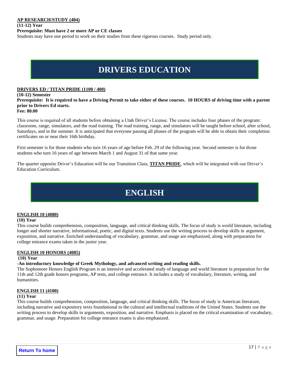**(11-12) Year Prerequisite: Must have 2 or more AP or CE classes** Students may have one period to work on their studies from these rigorous courses. Study period only.

# **DRIVERS EDUCATION**

#### <span id="page-16-0"></span>**DRIVERS ED / TITAN PRIDE (1100 / 400)**

**(10-12) Semester Prerequisite: It is required to have a Driving Permit to take either of these courses. 10 HOURS of driving time with a parent prior to Drivers Ed starts. Fee: 80.00**

This course is required of all students before obtaining a Utah Driver's License. The course includes four phases of the program: classroom, range, simulators, and the road training. The road training, range, and simulators will be taught before school, after school, Saturdays, and in the summer. It is anticipated that everyone passing all phases of the program will be able to obtain their completion certificates on or near their 16th birthday.

First semester is for those students who turn 16 years of age before Feb. 29 of the following year. Second semester is for those students who turn 16 years of age between March 1 and August 31 of that same year.

The quarter opposite Driver's Education will be our Transition Class, **TITAN PRIDE**, which will be integrated with our Driver's Education Curriculum.

# **ENGLISH**

#### <span id="page-16-1"></span>**ENGLISH 10 (4080)**

#### **(10) Year**

This course builds comprehension, composition, language, and critical thinking skills. The focus of study is world literature, including longer and shorter narrative, informational, poetic, and digital texts. Students use the writing process to develop skills in argument, exposition, and narrative. Enriched understanding of vocabulary, grammar, and usage are emphasized, along with preparation for college entrance exams taken in the junior year.

#### **ENGLISH 10 HONORS (4085)**

#### **(10) Year**

#### **-An introductory knowledge of Greek Mythology, and advanced writing and reading skills.**

The Sophomore Honors English Program is an intensive and accelerated study of language and world literature in preparation for the 11th and 12th grade honors programs, AP tests, and college entrance. It includes a study of vocabulary, literature, writing, and humanities.

#### **ENGLISH 11 (4100)**

#### **(11) Year**

This course builds comprehension, composition, language, and critical thinking skills. The focus of study is American literature, including narrative and expository texts foundational to the cultural and intellectual traditions of the United States. Students use the writing process to develop skills in arguments, exposition, and narrative. Emphasis is placed on the critical examination of vocabulary, grammar, and usage. Preparation for college entrance exams is also emphasized.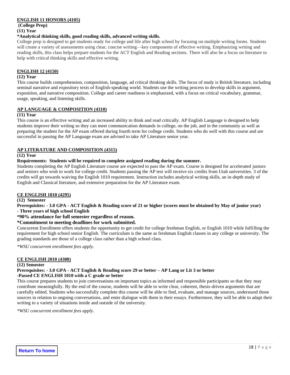#### **ENGLISH 11 HONORS (4105)**

**(College Prep) (11) Year**

#### **\*Analytical thinking skills, good reading skills, advanced writing skills.**

College prep is designed to get students ready for college and life after high school by focusing on multiple writing forms. Students will create a variety of assessments using clear, concise writing—key components of effective writing. Emphasizing writing and reading skills, this class helps prepare students for the ACT English and Reading sections. There will also be a focus on literature to help with critical thinking skills and effective writing.

#### **ENGLISH 12 (4150)**

#### **(12) Year**

This course builds comprehension, composition, language, ad critical thinking skills. The focus of study is British literature, including seminal narrative and expository texts of English-speaking world. Students use the writing process to develop skills in argument, exposition, and narrative composition. College and career readiness is emphasized, with a focus on critical vocabulary, grammar, usage, speaking, and listening skills.

#### **AP LANGUAGE & COMPOSITION (4310)**

#### **(11) Year**

This course is an effective writing and an increased ability to think and read critically. AP English Language is designed to help students improve their writing so they can meet communication demands in college, on the job, and in the community as well as preparing the student for the AP exam offered during fourth term for college credit. Students who do well with this course and are successful in passing the AP Language exam are advised to take AP Literature senior year.

#### **AP LITERATURE AND COMPOSITION (4315)**

#### **(12) Year**

#### **Requirements: Students will be required to complete assigned reading during the summer.**

Students completing the AP English Literature course are expected to pass the AP exam. Course is designed for accelerated juniors and seniors who wish to work for college credit. Students passing the AP test will receive six credits from Utah universities. 3 of the credits will go towards waiving the English 1010 requirement. Instruction includes analytical writing skills, an in-depth study of English and Classical literature, and extensive preparation for the AP Literature exam.

#### **CE ENGLISH 1010 (4295)**

**(12) Semester**

**Prerequisites: - 3.0 GPA - ACT English & Reading score of 21 or higher (scores must be obtained by May of junior year) - Three years of high school English**

**\*90% attendance for full semester regardless of reason.**

#### **\*Commitment to meeting deadlines for work submitted.**

Concurrent Enrollment offers students the opportunity to get credit for college freshman English, or English 1010 while fulfilling the requirement for high school senior English. The curriculum is the same as freshman English classes in any college or university. The grading standards are those of a college class rather than a high school class.

*\*WSU concurrent enrollment fees apply.*

#### **CE ENGLISH 2010 (4300)**

#### **(12) Semester**

**Prerequisites: - 3.0 GPA - ACT English & Reading score 29 or better – AP Lang or Lit 3 or better** 

#### **-Passed CE ENGLISH 1010 with a C grade or better**

This course prepares students to join conversations on important topics as informed and responsible participants so that they may contribute meaningfully. By the end of the course, students will be able to write clear, coherent, thesis-driven arguments that are carefully edited. Students who successfully complete this course will be able to find, evaluate, and manage sources, understand those sources in relation to ongoing conversations, and enter dialogue with them in their essays. Furthermore, they will be able to adapt their writing to a variety of situations inside and outside of the university.

*\*WSU concurrent enrollment fees apply.*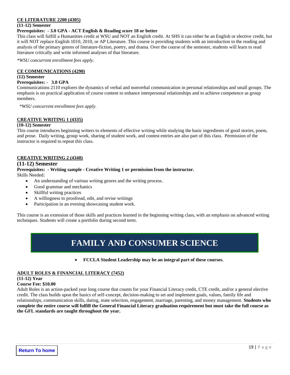#### **CE LITERATURE 2200 (4305)**

#### **(11-12) Semester**

#### **Prerequisites: - 3.0 GPA - ACT English & Reading score 18 or better**

This class will fulfill a Humanities credit at WSU and NOT an English credit. At SHS it can either be an English or elective credit, but it will NOT replace English 1010, 2010, or AP Literature. This course is providing students with an introduction to the reading and analysis of the primary genres of literature-fiction, poetry, and drama. Over the course of the semester, students will learn to read literature critically and write informed analyses of that literature.

*\*WSU concurrent enrollment fees apply.*

#### **CE COMMUNICATIONS (4290)**

#### **(12) Semester**

#### **Prerequisites: - 3.0 GPA**

Communications 2110 explores the dynamics of verbal and nonverbal communication in personal relationships and small groups. The emphasis is on practical application of course content to enhance interpersonal relationships and to achieve competence as group members.

*\*WSU concurrent enrollment fees apply.*

#### **CREATIVE WRITING 1 (4335)**

#### **(10-12) Semester**

This course introduces beginning writers to elements of effective writing while studying the basic ingredients of good stories, poem, and prose. Daily writing, group work, sharing of student work, and contest entries are also part of this class. Permission of the instructor is required to repeat this class.

#### **CREATIVE WRITING 2 (4340)**

#### **(11-12) Semester**

#### **Prerequisites: - Writing sample - Creative Writing 1 or permission from the instructor.** Skills Needed:

- An understanding of various writing genres and the writing process.
- Good grammar and mechanics
- Skillful writing practices
- A willingness to proofread, edit, and revise writings
- Participation in an evening showcasing student work.

<span id="page-18-0"></span>This course is an extension of those skills and practices learned in the beginning writing class, with an emphasis on advanced writing techniques. Students will create a portfolio during second term.

# **FAMILY AND CONSUMER SCIENCE**

• **FCCLA Student Leadership may be an integral part of these courses.**

#### **ADULT ROLES & FINANCIAL LITERACY (7452)**

#### **(11-12) Year**

#### **Course Fee: \$10.00**

Adult Roles is an action-packed year long course that counts for your Financial Literacy credit, CTE credit, and/or a general elective credit. The class builds upon the basics of self-concept, decision-making to set and implement goals, values, family life and relationships, communication skills, dating, mate selection, engagement, marriage, parenting, and money management. **Students who complete the entire course will fulfill the General Financial Literacy graduation requirement but must take the full course as the GFL standards are taught throughout the year.**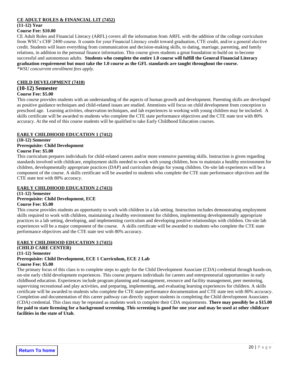#### **CE ADULT ROLES & FINANCIAL LIT (7452)**

# **(11-12) Year**

#### **Course Fee: \$10.00**

CE Adult Roles and Financial Literacy (ARFL) covers all the information from ARFL with the addition of the college curriculum from WSU's CHF 2400 course. It counts for your Financial Literacy credit toward graduation, CTE credit, and/or a general elective credit. Students will learn everything from communication and decision-making skills, to dating, marriage, parenting, and family relations, in addition to the personal finance information. This course gives students a great foundation to build on to become successful and autonomous adults. **Students who complete the entire 1.0 course will fulfill the General Financial Literacy graduation requirement but must take the 1.0 course as the GFL standards are taught throughout the course.**  *\*WSU concurrent enrollment fees apply.*

#### **CHILD DEVELOPMENT (7410)**

# **(10-12) Semester**

#### **Course Fee: \$5.00**

This course provides students with an understanding of the aspects of human growth and development. Parenting skills are developed as positive guidance techniques and child-related issues are studied. Attentions will focus on child development from conception to preschool age. Learning activities, observation techniques, and lab experiences in working with young children may be included. A skills certificate will be awarded to students who complete the CTE state performance objectives and the CTE state test with 80% accuracy. At the end of this course students will be qualified to take Early Childhood Education courses.

#### **EARLY CHILDHOOD EDUCATION 1 (7412)**

#### **(10-12) Semester**

#### **Prerequisite: Child Development**

#### **Course Fee: \$5.00**

This curriculum prepares individuals for child-related careers and/or more extensive parenting skills. Instruction is given regarding standards involved with childcare, employment skills needed to work with young children, how to maintain a healthy environment for children, developmentally appropriate practices (DAP) and curriculum design for young children. On-site lab experiences will be a component of the course. A skills certificate will be awarded to students who complete the CTE state performance objectives and the CTE state test with 80% accuracy.

#### **EARLY CHILDHOOD EDUCATION 2 (7413)**

**(11-12) Semester Prerequisite: Child Development, ECE Course Fee: \$5.00**

This course provides students an opportunity to work with children in a lab setting. Instruction includes demonstrating employment skills required to work with children, maintaining a healthy environment for children, implementing developmentally appropriate practices in a lab setting, developing, and implementing curriculum and developing positive relationships with children. On-site lab experiences will be a major component of the course. A skills certificate will be awarded to students who complete the CTE state performance objectives and the CTE state test with 80% accuracy.

**fee paid to state licensing for a background screening. This screening is good for one year and may be used at other childcare**

#### **EARLY CHILDHOOD EDUCATION 3 (7415)**

**(CHILD CARE CENTER)**

**(11-12) Semester**

# **Prerequisite: Child Development, ECE 1 Curriculum, ECE 2 Lab**

**Course Fee: \$5.00** The primary focus of this class is to complete steps to apply for the Child Development Associate (CDA) credential through hands-on, on-site early child development experiences. This course prepares individuals for careers and entrepreneurial opportunities in early childhood education. Experiences include program planning and management, resource and facility management, peer mentoring, supervising recreational and play activities, and preparing, implementing, and evaluating learning experiences for children. A skills certificate will be awarded to students who complete the CTE state performance documentation and CTE state test with 80% accuracy. Completion and documentation of this career pathway can directly support students in completing the Child development Associates (CDA) credential. This class may be repeated as students work to complete their CDA requirements. **There may possibly be a \$15.00** 

**Return To home**

**facilities in the state of Utah**.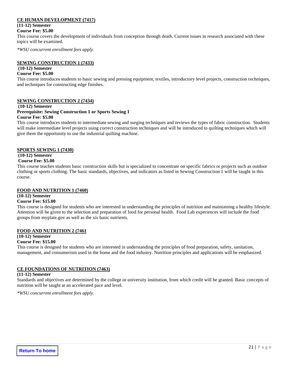#### **CE HUMAN DEVELOPMENT (7417)**

### **(11-12) Semester**

**Course Fee: \$5.00**

This course covers the development of individuals from conception through death. Current issues in research associated with these topics will be examined.

*\*WSU concurrent enrollment fees apply.*

#### **SEWING CONSTRUCTION 1 (7433)**

### **(10-12) Semester**

#### **Course Fee: \$5.00**

This course introduces students to basic sewing and pressing equipment, textiles, introductory level projects, construction techniques, and techniques for constructing edge finishes.

#### **SEWING CONSTRUCTION 2 (7434)**

#### **(10-12) Semester**

#### **Prerequisite: Sewing Construction 1 or Sports Sewing 1 Course Fee: \$5.00**

This course introduces students to intermediate sewing and surging techniques and reviews the types of fabric construction. Students will make intermediate level projects using correct construction techniques and will be introduced to quilting techniques which will give them the opportunity to use the industrial quilting machine.

#### **SPORTS SEWING 1 (7430)**

### **(10-12) Semester**

#### **Course Fee: \$5.00**

This course teaches students basic construction skills but is specialized to concentrate on specific fabrics or projects such as outdoor clothing or sports clothing. The basic standards, objectives, and indicators as listed in Sewing Construction 1 will be taught in this course.

#### **FOOD AND NUTRITION 1 (7460)**

#### **(10-12) Semester**

#### **Course Fee: \$15.00**

This course is designed for students who are interested in understanding the principles of nutrition and maintaining a healthy lifestyle. Attention will be given to the selection and preparation of food for personal health. Food Lab experiences will include the food groups from myplate.gov as well as the six basic nutrients.

#### **FOOD AND NUTRITION 2 (7461**

#### **(10-12) Semester**

#### **Course Fee: \$15.00**

This course is designed for students who are interested in understanding the principles of food preparation, safety, sanitation, management, and consumerism used in the home and the food industry. Nutrition principles and applications will be emphasized.

#### **CE FOUNDATIONS OF NUTRITION (7463)**

#### **(11-12) Semester**

Standards and objectives are determined by the college or university institution, from which credit will be granted. Basic concepts of nutrition will be taught at an accelerated pace and level.

*\*WSU concurrent enrollment fees apply.*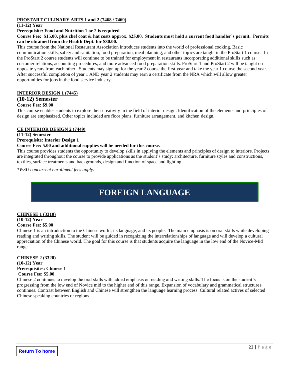#### **PROSTART CULINARY ARTS 1 and 2 (7468 / 7469)**

#### **(11-12) Year**

#### **Prerequisite: Food and Nutrition 1 or 2 is required**

#### **Course Fee: \$15.00, plus chef coat & hat costs approx. \$25.00. Students must hold a current food handler's permit. Permits can be obtained from the Health Dept. for \$30.00.**

This course from the National Restaurant Association introduces students into the world of professional cooking. Basic communication skills, safety and sanitation, food preparation, meal planning, and other topics are taught in the ProStart 1 course. In the ProStart 2 course students will continue to be trained for employment in restaurants incorporating additional skills such as customer relations, accounting procedures, and more advanced food preparation skills. ProStart 1 and ProStart 2 will be taught on opposite years from each other. Students may sign up for the year 2 course the first year and take the year 1 course the second year. After successful completion of year 1 AND year 2 students may earn a certificate from the NRA which will allow greater opportunities for jobs in the food service industry.

#### **INTERIOR DESIGN 1 (7445)**

#### **(10-12) Semester**

#### **Course Fee: \$9.00**

This course enables students to explore their creativity in the field of interior design. Identification of the elements and principles of design are emphasized. Other topics included are floor plans, furniture arrangement, and kitchen design.

#### **CE INTERIOR DESIGN 2 (7449)**

**(11-12) Semester**

### **Prerequisite: Interior Design 1**

#### **Course Fee: 5.00 and additional supplies will be needed for this course.**

This course provides students the opportunity to develop skills in applying the elements and principles of design to interiors. Projects are integrated throughout the course to provide applications as the student's study: architecture, furniture styles and constructions, textiles, surface treatments and backgrounds, design and function of space and lighting.

<span id="page-21-0"></span>*\*WSU concurrent enrollment fees apply.*

# **FOREIGN LANGUAGE**

#### **CHINESE 1 (3310) (10-12) Year Course Fee: \$5.00**

Chinese 1 is an introduction to the Chinese world, its language, and its people. The main emphasis is on oral skills while developing reading and writing skills. The student will be guided in recognizing the interrelationships of language and will develop a cultural appreciation of the Chinese world. The goal for this course is that students acquire the language in the low end of the Novice-Mid range.

#### **CHINESE 2 (3320) (10-12) Year Prerequisites: Chinese 1 Course Fee: \$5.00**

Chinese 2 continues to develop the oral skills with added emphasis on reading and writing skills. The focus is on the student's progressing from the low end of Novice mid to the higher end of this range. Expansion of vocabulary and grammatical structures continues. Contrast between English and Chinese will strengthen the language learning process. Cultural related actives of selected Chinese speaking countries or regions.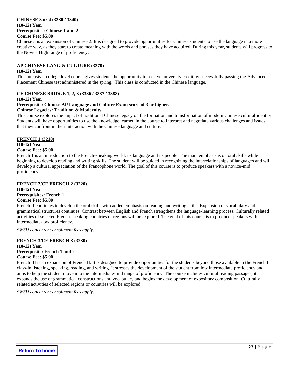#### **CHINESE 3 or 4 (3330 / 3340)**

#### **(10-12) Year Prerequisites: Chinese 1 and 2 Course Fee: \$5.00**

Chinese 3 is an expansion of Chinese 2. It is designed to provide opportunities for Chinese students to use the language in a more creative way, as they start to create meaning with the words and phrases they have acquired. During this year, students will progress to the Novice High range of proficiency.

#### **AP CHINESE LANG & CULTURE (3370)**

#### **(10-12) Year**

This intensive, college level course gives students the opportunity to receive university credit by successfully passing the Advanced Placement Chinese test administered in the spring. This class is conducted in the Chinese language.

#### **CE CHINESE BRIDGE 1, 2, 3 (3386 / 3387 / 3388)**

#### **(10-12) Year**

#### **Prerequisite: Chinese AP Language and Culture Exam score of 3 or higher.**

#### **Chinese Legacies: Tradition & Modernity**

This course explores the impact of traditional Chinese legacy on the formation and transformation of modern Chinese cultural identity. Students will have opportunities to use the knowledge learned in the course to interpret and negotiate various challenges and issues that they confront in their interaction with the Chinese language and culture.

#### **FRENCH 1 (3210)**

#### **(10-12) Year**

#### **Course Fee: \$5.00**

French 1 is an introduction to the French-speaking world, its language and its people. The main emphasis is on oral skills while beginning to develop reading and writing skills. The student will be guided in recognizing the interrelationships of languages and will develop a cultural appreciation of the Francophone world. The goal of this course is to produce speakers with a novice-mid proficiency.

#### **FRENCH 2/CE FRENCH 2 (3220)**

**(10-12) Year Prerequisites: French 1 Course Fee: \$5.00**

French II continues to develop the oral skills with added emphasis on reading and writing skills. Expansion of vocabulary and grammatical structures continues. Contrast between English and French strengthens the language-learning process. Culturally related activities of selected French-speaking countries or regions will be explored. The goal of this course is to produce speakers with intermediate-low proficiency.

*\*WSU concurrent enrollment fees apply.*

#### **FRENCH 3/CE FRENCH 3 (3230)**

**(10-12) Year Prerequisite: French 1 and 2 Course Fee: \$5.00**

French III is an expansion of French II. It is designed to provide opportunities for the students beyond those available in the French II class-in listening, speaking, reading, and writing. It stresses the development of the student from low intermediate proficiency and aims to help the student move into the intermediate-mid range of proficiency. The course includes cultural reading passages; it expands the use of grammatical constructions and vocabulary and begins the development of expository composition. Culturally related activities of selected regions or countries will be explored.

*\*WSU concurrent enrollment fees apply.*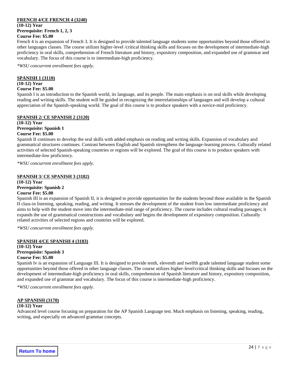#### **FRENCH 4/CE FRENCH 4 (3240)**

**(10-12) Year Prerequisite: French 1, 2, 3 Course Fee: \$5.00**

French 4 is an expansion of French 3. It is designed to provide talented language students some opportunities beyond those offered in other languages classes. The course utilizes higher-level /critical thinking skills and focuses on the development of intermediate-high proficiency in oral skills, comprehension of French literature and history, expository composition, and expanded use of grammar and vocabulary. The focus of this course is to intermediate-high proficiency.

*\*WSU concurrent enrollment fees apply.*

#### **SPANISH 1 (3110)**

**(10-12) Year**

#### **Course Fee: \$5.00**

Spanish I is an introduction to the Spanish world, its language, and its people. The main emphasis is on oral skills while developing reading and writing skills. The student will be guided in recognizing the interrelationships of languages and will develop a cultural appreciation of the Spanish-speaking world. The goal of this course is to produce speakers with a novice-mid proficiency.

#### **SPANISH 2/ CE SPANISH 2 (3120)**

**(10-12) Year Prerequisite: Spanish 1 Course Fee: \$5.00**

Spanish II continues to develop the oral skills with added emphasis on reading and writing skills. Expansion of vocabulary and grammatical structures continues. Contrast between English and Spanish strengthens the language-learning process. Culturally related activities of selected Spanish-speaking countries or regions will be explored. The goal of this course is to produce speakers with intermediate-low proficiency.

*\*WSU concurrent enrollment fees apply.*

#### **SPANISH 3/ CE SPANISH 3 (3182)**

**(10-12) Year Prerequisite: Spanish 2 Course Fee: \$5.00**

Spanish III is an expansion of Spanish II, it is designed to provide opportunities for the students beyond those available in the Spanish II class-in listening, speaking, reading, and writing. It stresses the development of the student from low intermediate proficiency and aims to help with the student move into the intermediate-mid range of proficiency. The course includes cultural reading passages; it expands the use of grammatical constructions and vocabulary and begins the development of expository composition. Culturally related activities of selected regions and countries will be explored.

*\*WSU concurrent enrollment fees apply.*

#### **SPANISH 4/CE SPANISH 4 (3183)**

**(10-12) Year Prerequisite: Spanish 3 Course Fee: \$5.00**

Spanish Iv is an expansion of Language III. It is designed to provide tenth, eleventh and twelfth grade talented language student some opportunities beyond those offered in other language classes. The course utilizes higher-level/critical thinking skills and focuses on the development of intermediate-high proficiency in oral skills, comprehension of Spanish literature and history, expository composition, and expanded use of grammar and vocabulary. The focus of this course is intermediate-high proficiency.

*\*WSU concurrent enrollment fees apply.*

#### **AP SPANISH (3170)**

#### **(10-12) Year**

Advanced level course focusing on preparation for the AP Spanish Language test. Much emphasis on listening, speaking, reading, writing, and especially on advanced grammar concepts.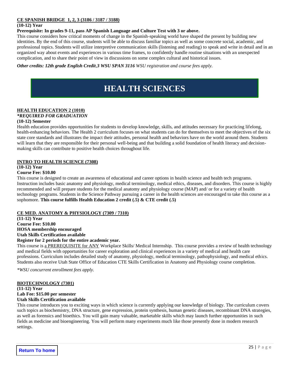#### **CE SPANISH BRIDGE 1, 2, 3 (3186 / 3187 / 3188)**

#### **(10-12) Year**

**Prerequisite: In grades 9-11, pass AP Spanish Language and Culture Test with 3 or above.** 

This course considers how critical moments of change in the Spanish-speaking world have shaped the present by building new identities. By the end of this course, students will be able to discuss familiar topics as well as some concrete social, academic, and professional topics. Students will utilize interpretive communication skills (listening and reading) to speak and write in detail and in an organized way about events and experiences in various time frames, to confidently handle routine situations with an unexpected complication, and to share their point of view in discussions on some complex cultural and historical issues.

<span id="page-24-0"></span>*Other credits: 12th grade English Credit,3 WSU SPAN 3116 WSU registration and course fees apply.*

# **HEALTH SCIENCES**

### **HEALTH EDUCATION 2 (1010)**

#### *\*REQUIRED FOR GRADUATION*

#### **(10-12) Semester**

Health education provides opportunities for students to develop knowledge, skills, and attitudes necessary for practicing lifelong, health-enhancing behaviors. The Health 2 curriculum focuses on what students can do for themselves to meet the objectives of the six state core standards and illustrates the impact their attitudes, personal health and behaviors have on the world around them. Students will learn that they are responsible for their personal well-being and that building a solid foundation of health literacy and decisionmaking skills can contribute to positive health choices throughout life.

#### **INTRO TO HEALTH SCIENCE (7308)**

**(10-12) Year**

#### **Course Fee: \$10.00**

This course is designed to create an awareness of educational and career options in health science and health tech programs. Instruction includes basic anatomy and physiology, medical terminology, medical ethics, diseases, and disorders. This course is highly recommended and will prepare students for the medical anatomy and physiology course (MAP) and/ or for a variety of health technology programs. Students in the Science Pathway pursuing a career in the health sciences are encouraged to take this course as a sophomore. **This course fulfills Health Education 2 credit (.5) & CTE credit (.5)**

#### **CE MED. ANATOMY & PHYSIOLOGY (7309 / 7310)**

**(11-12) Year Course Fee: \$10.00 HOSA membership encouraged Utah Skills Certification available Register for 2 periods for the entire academic year.**

This course is a PREREQUISITE for ANY Workplace Skills/ Medical Internship. This course provides a review of health technology and medical fields with opportunities for career exploration and clinical experiences in a variety of medical and health care professions. Curriculum includes detailed study of anatomy, physiology, medical terminology, pathophysiology, and medical ethics. Students also receive Utah State Office of Education CTE Skills Certification in Anatomy and Physiology course completion.

*\*WSU concurrent enrollment fees apply.*

#### **BIOTECHNOLOGY (7301)**

**(11-12) Year**

### **Lab Fee: \$15.00 per semester**

#### **Utah Skills Certification available**

This course introduces you to exciting ways in which science is currently applying our knowledge of biology. The curriculum covers such topics as biochemistry, DNA structure, gene expression, protein synthesis, human genetic diseases, recombinant DNA strategies, as well as forensics and bioethics. You will gain many valuable, marketable skills which may launch further opportunities in such fields as medicine and bioengineering. You will perform many experiments much like those presently done in modern research settings.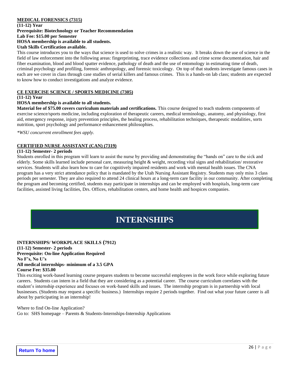#### **MEDICAL FORENSICS (7315)**

**(11-12) Year Prerequisite: Biotechnology or Teacher Recommendation Lab Fee: \$15.00 per Semester HOSA membership is available to all students.**

#### **Utah Skills Certification available.**

This course introduces you to the ways that science is used to solve crimes in a realistic way. It breaks down the use of science in the field of law enforcement into the following areas: fingerprinting, trace evidence collections and crime scene documentation, hair and fiber examination, blood and blood spatter evidence, pathology of death and the use of entomology in estimating time of death, criminal psychology and profiling, forensic anthropology, and forensic toxicology. On top of that students investigate famous cases in each are we cover in class through case studies of serial killers and famous crimes. This is a hands-on lab class; students are expected to know how to conduct investigations and analyze evidence.

#### **CE EXERCISE SCIENCE / SPORTS MEDICINE (7305)**

#### **(11-12) Year**

#### **HOSA membership is available to all students.**

**Material fee of \$75.00 covers curriculum materials and certifications.** This course designed to teach students components of exercise science/sports medicine, including exploration of therapeutic careers, medical terminology, anatomy, and physiology, first aid, emergency response, injury prevention principles, the healing process, rehabilitation techniques, therapeutic modalities, sorts nutrition, sport psychology and performance enhancement philosophies.

*\*WSU concurrent enrollment fees apply.*

#### **CERTIFIED NURSE ASSISTANT (CAN) (7319)**

#### **(11-12) Semester- 2 periods**

Students enrolled in this program will learn to assist the nurse by providing and demonstrating the "hands on" care to the sick and elderly. Some skills learned include personal care, measuring height & weight, recording vital signs and rehabilitation/ restorative services. Students will also learn how to care for cognitively impaired residents and work with mental health issues. The CNA program has a very strict attendance policy that is mandated by the Utah Nursing Assistant Registry. Students may only miss 3 class periods per semester. They are also required to attend 24 clinical hours at a long-term care facility in our community. After completing the program and becoming certified, students may participate in internships and can be employed with hospitals, long-term care facilities, assisted living facilities, Drs. Offices, rehabilitation centers, and home health and hospices companies.

# **INTERNSHIPS**

#### <span id="page-25-0"></span>**INTERNSHIPS/ WORKPLACE SKILLS (7912)**

**(11-12) Semester- 2 periods Prerequisite: On-line Application Required No F's, No U's All medical internships- minimum of a 3.5 GPA Course Fee: \$35.00**

This exciting work-based learning course prepares students to become successful employees in the work force while exploring future careers. Students can intern in a field that they are considering as a potential career. The course curriculum correlates with the student's internship experience and focuses on work-based skills and issues. The internship program is in partnership with local businesses. (Students may request a specific business.) Internships require 2 periods together. Find out what your future career is all about by participating in an internship!

Where to find On-line Application? Go to: SHS homepage – Parents  $&$  Students-Internships-Internship Applications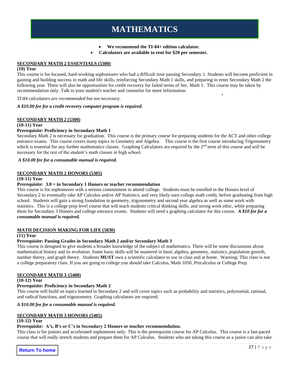# **MATHEMATICS**

• **We recommend the TI-84+ edition calculator.**

• **Calculators are available to rent for \$20 per semester.**

#### <span id="page-26-0"></span>**SECONDARY MATH 2 ESSENTIALS (5300)**

#### **(10) Year**

This course is for focused, hard-working sophomores who had a difficult time passing Secondary 1. Students will become proficient in gaining and building success in math and life skills, reinforcing Secondary Math 1 skills, and preparing to enter Secondary Math 2 the following year. There will also be opportunities for credit recovery for failed terms of Sec. Math 1. This course may be taken by recommendation only. Talk to your student's teacher and counselor for more information.

*TI-84 calculators are recommended but not necessary.*

#### *A \$10.00 fee for a credit recovery computer program is required.*

#### **SECONDARY MATH 2 (5300)**

#### **(10-11) Year**

#### **Prerequisite: Proficiency in Secondary Math 1**

Secondary Math 2 is necessary for graduation. This course is the primary course for preparing students for the ACT and other college entrance exams. This course covers many topics in Geometry and Algebra. This course is the first course introducing Trigonometry which is essential for any further mathematics classes. Graphing Calculators are required by the 2<sup>nd</sup> term of this course and will be necessary for the rest of the student's math classes in high school.

*A \$10.00 fee for a consumable manual is required.*

#### **SECONDARY MATH 2 HONORS (5305)**

#### **(10-11) Year**

#### **Prerequisite: 3.0 + in Secondary 1 Honors or teacher recommendation**

This course is for sophomores with a serious commitment to attend college. Students must be enrolled in the Honors level of Secondary 2 to eventually take AP Calculus and/or AP Statistics, and very likely earn college math credit, before graduating from high school. Students will gain a strong foundation in geometry, trigonometry and second year algebra as well as some work with statistics. This is a college prep level course that will teach students critical thinking skills, and strong work ethic, while preparing them for Secondary 3 Honors and college entrance exams. Students will need a graphing calculator for this course. *A \$10 fee for a consumable manual is required.*

#### **MATH DECISION MAKING FOR LIFE (5830)**

#### **(11) Year**

#### **Prerequisite: Passing Grades in Secondary Math 2 and/or Secondary Math 3**

This course is designed to give students a broader knowledge of the subject of mathematics. There will be some discussions about mathematical history and its evolution. Some basic skills will be mastered in basic algebra, geometry, statistics, population growth, number theory, and graph theory. Students **MUST** own a scientific calculator to use in class and at home. Warning: This class is not a college preparatory class. If you are going to college you should take Calculus, Math 1050, Precalculus or College Prep.

#### **SECONDARY MATH 3 (5400)**

#### **(10-12) Year**

#### **Prerequisite: Proficiency in Secondary Math 2**

This course will build on topics learned in Secondary 2 and will cover topics such as probability and statistics, polynomial, rational, and radical functions, and trigonometry. Graphing calculators are required.

### *A \$10.00 fee for a consumable manual is required.*

### **SECONDARY MATH 3 HONORS (5405)**

#### **(10-12) Year**

#### **Prerequisite: A's, B's or C's in Secondary 2 Honors or teacher recommendation.**

This class is for juniors and accelerated sophomores only. This is the prerequisite course for AP Calculus. This course is a fast-paced course that will really stretch students and prepare them for AP Calculus. Students who are taking this course as a junior can also take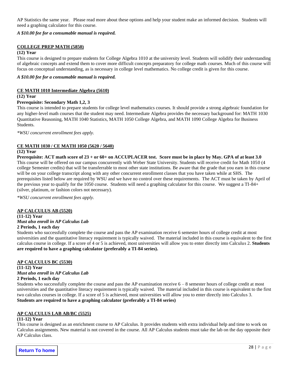AP Statistics the same year. Please read more about these options and help your student make an informed decision. Students will need a graphing calculator for this course.

*A \$10.00 fee for a consumable manual is required.*

#### **COLLEGE PREP MATH (5850)**

#### **(12) Year**

This course is designed to prepare students for College Algebra 1010 at the university level. Students will solidify their understanding of algebraic concepts and extend them to cover more difficult concepts preparatory for college math courses. Much of this course will focus on conceptual understanding, as is necessary in college level mathematics. No college credit is given for this course.

*A \$10.00 fee for a consumable manual is required.*

#### **CE MATH 1010 Intermediate Algebra (5610)**

**(12) Year**

#### **Prerequisite: Secondary Math 1,2, 3**

This course is intended to prepare students for college level mathematics courses. It should provide a strong algebraic foundation for any higher-level math courses that the student may need. Intermediate Algebra provides the necessary background for: MATH 1030 Quantitative Reasoning, MATH 1040 Statistics, MATH 1050 College Algebra, and MATH 1090 College Algebra for Business Students.

*\*WSU concurrent enrollment fees apply.*

#### **CE MATH 1030 / CE MATH 1050 (5620 / 5640)**

**(12) Year**

**Prerequisite: ACT math score of 23 + or 60+ on ACCUPLACER test. Score must be in place by May. GPA of at least 3.0** This course will be offered on our campus concurrently with Weber State University. Students will receive credit for Math 1050 (4 college Semester credits) that will be transferrable to most other state institutions. Be aware that the grade that you earn in this course will be on your college transcript along with any other concurrent enrollment classes that you have taken while at SHS. The prerequisites listed below are required by WSU and we have no control over these requirements. The ACT must be taken by April of the previous year to qualify for the 1050 course. Students will need a graphing calculator for this course. We suggest a TI-84+ (silver, platinum, or fashion colors not necessary).

*\*WSU concurrent enrollment fees apply.*

#### **AP CALCULUS AB (5520)**

**(11-12) Year** *Must also enroll in AP Calculus Lab* **2 Periods, 1 each day**

#### Students who successfully complete the course and pass the AP examination receive 6 semester hours of college credit at most universities and the quantitative literacy requirement is typically waived. The material included in this course is equivalent to the first calculus course in college. If a score of 4 or 5 is achieved, most universities will allow you to enter directly into Calculus 2. **Students are required to have a graphing calculator (preferably a TI-84 series).**

#### **AP CALCULUS BC (5530)**

**(11-12) Year** *Must also enroll in AP Calculus Lab*  **2 Periods, 1 each day**

Students who successfully complete the course and pass the AP examination receive 6 – 8 semester hours of college credit at most universities and the quantitative literacy requirement is typically waived. The material included in this course is equivalent to the first two calculus courses in college. If a score of 5 is achieved, most universities will allow you to enter directly into Calculus 3. **Students are required to have a graphing calculator (preferably a TI-84 series)**

#### **AP CALCULUS LAB AB/BC (5525)**

#### **(11-12) Year**

This course is designed as an enrichment course to AP Calculus. It provides students with extra individual help and time to work on Calculus assignments. New material is not covered in the course. All AP Calculus students must take the lab on the day opposite their AP Calculus class.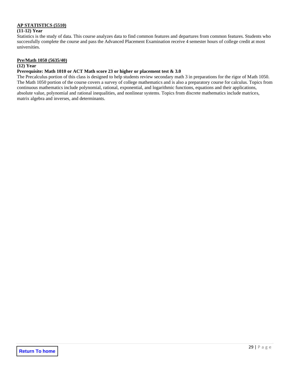#### **AP STATISTICS (5510)**

#### **(11-12) Year**

Statistics is the study of data. This course analyzes data to find common features and departures from common features. Students who successfully complete the course and pass the Advanced Placement Examination receive 4 semester hours of college credit at most universities.

#### **Pre/Math 1050 (5635/40)**

#### **(12) Year**

#### **Prerequisite: Math 1010 or ACT Math score 23 or higher or placement test & 3.0**

The Precalculus portion of this class is designed to help students review secondary math 3 in preparations for the rigor of Math 1050. The Math 1050 portion of the course covers a survey of college mathematics and is also a preparatory course for calculus. Topics from continuous mathematics include polynomial, rational, exponential, and logarithmic functions, equations and their applications, absolute value, polynomial and rational inequalities, and nonlinear systems. Topics from discrete mathematics include matrices, matrix algebra and inverses, and determinants.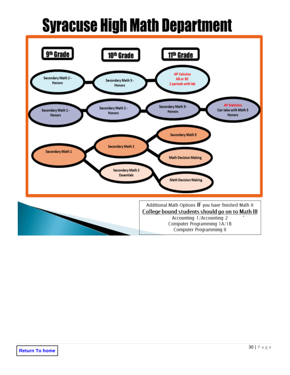# **Syracuse High Math Department**

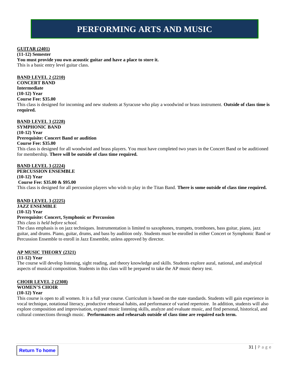# **PERFORMING ARTS AND MUSIC**

#### <span id="page-30-0"></span>**GUITAR (2401)**

#### **(11-12) Semester**

**You must provide you own acoustic guitar and have a place to store it.** This is a basic entry level guitar class.

#### **BAND LEVEL 2 (2210)**

**CONCERT BAND Intermediate (10-12) Year Course Fee: \$35.00** This class is designed for incoming and new students at Syracuse who play a woodwind or brass instrument. **Outside of class time is required.** 

#### **BAND LEVEL 3 (2228)**

**SYMPHONIC BAND (10-12) Year Prerequisite: Concert Band or audition Course Fee: \$35.00** This class is designed for all woodwind and brass players. You must have completed two years in the Concert Band or be auditioned for membership. **There will be outside of class time required.**

#### **BAND LEVEL 3 (2224)**

**PERCUSSION ENSEMBLE (10-12) Year Course Fee: \$35.00 & \$95.00**

This class is designed for all percussion players who wish to play in the Titan Band. **There is some outside of class time required.** 

#### **BAND LEVEL 3 (2225)**

**JAZZ ENSEMBLE (10-12) Year Prerequisite: Concert, Symphonic or Percussion** *This class is held before school.*

The class emphasis is on jazz techniques. Instrumentation is limited to saxophones, trumpets, trombones, bass guitar, piano, jazz guitar, and drums. Piano, guitar, drums, and bass by audition only. Students must be enrolled in either Concert or Symphonic Band or Percussion Ensemble to enroll in Jazz Ensemble, unless approved by director.

#### **AP MUSIC THEORY (2321)**

#### **(11-12) Year**

The course will develop listening, sight reading, and theory knowledge and skills. Students explore aural, national, and analytical aspects of musical composition. Students in this class will be prepared to take the AP music theory test.

#### **CHOIR LEVEL 2 (2308)**

### **WOMEN'S CHOIR**

### **(10-12) Year**

This course is open to all women. It is a full year course. Curriculum is based on the state standards. Students will gain experience in vocal technique, notational literacy, productive rehearsal habits, and performance of varied repertoire. In addition, students will also explore composition and improvisation, expand music listening skills, analyze and evaluate music, and find personal, historical, and cultural connections through music. **Performances and rehearsals outside of class time are required each term.**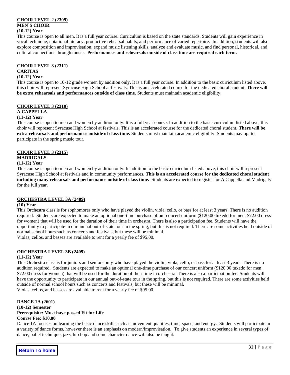#### **CHOIR LEVEL 2 (2309) MEN'S CHOIR (10-12) Year**

This course is open to all men. It is a full year course. Curriculum is based on the state standards. Students will gain experience in vocal technique, notational literacy, productive rehearsal habits, and performance of varied repertoire. In addition, students will also explore composition and improvisation, expand music listening skills, analyze and evaluate music, and find personal, historical, and cultural connections through music. **Performances and rehearsals outside of class time are required each term.**

#### **CHOIR LEVEL 3 (2311)**

#### **CARITAS**

#### **(10-12) Year**

This course is open to 10-12 grade women by audition only. It is a full year course. In addition to the basic curriculum listed above, this choir will represent Syracuse High School at festivals. This is an accelerated course for the dedicated choral student. **There will be extra rehearsals and performances outside of class time.** Students must maintain academic eligibility.

### **CHOIR LEVEL 3 (2310)**

# **A CAPPELLA**

#### **(11-12) Year**

This course is open to men and women by audition only. It is a full year course. In addition to the basic curriculum listed above, this choir will represent Syracuse High School at festivals. This is an accelerated course for the dedicated choral student. **There will be extra rehearsals and performances outside of class time.** Students must maintain academic eligibility. Students may opt to participate in the spring music tour.

#### **CHOIR LEVEL 3 (2315)**

#### **MADRIGALS**

#### **(11-12) Year**

This course is open to men and women by audition only. In addition to the basic curriculum listed above, this choir will represent Syracuse High School at festivals and in community performances. **This is an accelerated course for the dedicated choral student including many rehearsals and performance outside of class time.** Students are expected to register for A Cappella and Madrigals for the full year.

#### **ORCHESTRA LEVEL 3A (2409)**

#### **(10) Year**

This Orchestra class is for sophomores only who have played the violin, viola, cello, or bass for at least 3 years. There is no audition required. Students are expected to make an optional one-time purchase of our concert uniform (\$120.00 tuxedo for men, \$72.00 dress for women) that will be used for the duration of their time in orchestra. There is also a participation fee. Students will have the opportunity to participate in our annual out-of-state tour in the spring, but this is not required. There are some activities held outside of normal school hours such as concerts and festivals, but these will be minimal.

Violas, cellos, and basses are available to rent for a yearly fee of \$95.00.

#### **ORCHESTRA LEVEL 3B (2409)**

#### **(11-12) Year**

This Orchestra class is for juniors and seniors only who have played the violin, viola, cello, or bass for at least 3 years. There is no audition required. Students are expected to make an optional one-time purchase of our concert uniform (\$120.00 tuxedo for men, \$72.00 dress for women) that will be used for the duration of their time in orchestra. There is also a participation fee. Students will have the opportunity to participate in our annual out-of-state tour in the spring, but this is not required. There are some activities held outside of normal school hours such as concerts and festivals, but these will be minimal.

Violas, cellos, and basses are available to rent for a yearly fee of \$95.00.

#### **DANCE 1A (2601)**

#### **(10-12) Semester Prerequisite: Must have passed Fit for Life Course Fee: \$10.00**

Dance 1A focuses on learning the basic dance skills such as movement qualities, time, space, and energy. Students will participate in a variety of dance forms, however there is an emphasis on modern/improvisation. To give students an experience in several types of dance, ballet technique, jazz, hip hop and some character dance will also be taught.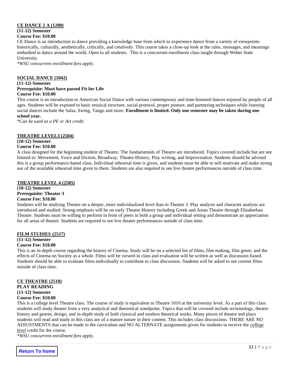#### **CE DANCE 2 A (1280) (11-12) Semester Course Fee: \$10.00**

CE Dance is an introduction to dance providing a knowledge base from which to experience dance from a variety of viewpoints: historically, culturally, aesthetically, critically, and creatively. This course takes a close-up look at the rules, messages, and meanings embodied in dance around the world. Open to all students. This is a concurrent enrollment class taught through Weber State University.

*\*WSU concurrent enrollment fees apply.*

#### **SOCIAL DANCE (1042)**

#### **(11-12) Semester Prerequisite: Must have passed Fit for Life Course Fee: \$10.00**

This course is an introduction to American Social Dance with various contemporary and time-honored dances enjoyed by people of all ages. Students will be exposed to basic musical structure, social protocol, proper posture, and partnering techniques while learning social dances include the Salsa, Swing, Tango and more. **Enrollment is limited. Only one semester may be taken during one school year.**

*\*Can be used as a PE or Art credit*

#### **THEATRE LEVEL3 (2504)**

### **(10-12) Semester**

#### **Course Fee: \$10.00**

A class designed for the beginning student of Theatre. The fundamentals of Theatre are introduced. Topics covered include but are not limited to: Movement, Voice and Diction, Broadway, Theatre History, Play writing, and Improvisation. Students should be advised this is a group performance-based class. Individual rehearsal time is given, and students must be able to self-motivate and make strong use of the available rehearsal time given to them. Students are also required to see live theatre performances outside of class time.

#### **THEATRE LEVEL 4 (2505)**

**(10-12) Semester Prerequisite: Theater 3**

#### **Course Fee: \$10.00**

Students will be studying Theatre on a deeper, more individualized level than in Theatre 3. Play analysis and character analysis are introduced and studied. Strong emphasis will be on early Theatre History including Greek and Asian Theatre through Elizabethan Theatre. Students must be willing to perform in front of peers in both a group and individual setting and demonstrate an appreciation for all areas of theatre. Students are required to see live theatre performances outside of class time.

#### **FILM STUDIES (2517)**

### **(11-12) Semester**

#### **Course Fee: \$10.00**

This is an in-depth course regarding the history of Cinema. Study will be on a selected list of films, film making, film genre, and the effects of Cinema on Society as a whole. Films will be viewed in class and evaluation will be written as well as discussion based. Students should be able to evaluate films individually to contribute to class discussion. Students will be asked to see current films outside of class time.

### **CE THEATRE (2510) PLAY READING (11-12) Semester**

#### **Course Fee: \$10.00**

This is a college level Theatre class. The course of study is equivalent to Theatre 1010 at the university level. As a part of this class students will study theatre from a very analytical and theoretical standpoint. Topics that will be covered include terminology, theatre history and genres, design, and in-depth study of both classical and modern theatrical works. Many pieces of theatre and plays students will read and study in this class are of a mature nature in their content. This includes class discussions. THERE ARE NO ADJUSTMENTS that can be made to the curriculum and NO ALTERNATE assignments given for students to receive the *college level* credit for the course.

*\*WSU concurrent enrollment fees apply.*

**Return To home**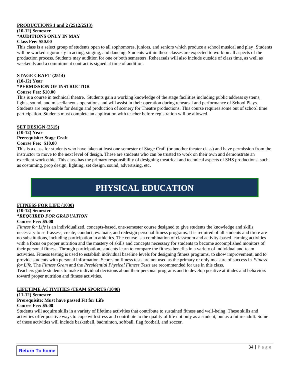#### **PRODUCTIONS 1 and 2 (2512/2513) (10-12) Semester \*AUDITIONS ONLY IN MAY Class Fee: \$50.00**

This class is a select group of students open to all sophomores, juniors, and seniors which produce a school musical and play. Students will be worked rigorously in acting, singing, and dancing. Students within these classes are expected to work on all aspects of the production process. Students may audition for one or both semesters. Rehearsals will also include outside of class time, as well as weekends and a commitment contract is signed at time of audition.

#### **STAGE CRAFT (2514)**

#### **(10-12) Year \*PERMISSION OF INSTRUCTOR Course Fee: \$10.00**

This is a course in technical theatre. Students gain a working knowledge of the stage facilities including public address systems, lights, sound, and miscellaneous operations and will assist in their operation during rehearsal and performance of School Plays. Students are responsible for design and production of scenery for Theatre productions. This course requires some out of school time participation. Students must complete an application with teacher before registration will be allowed.

#### **SET DESIGN (2515)**

#### **(10-12) Year Prerequisite: Stage Craft Course Fee: \$10.00**

This is a class for students who have taken at least one semester of Stage Craft (or another theater class) and have permission from the instructor to move to the next level of design. These are students who can be trusted to work on their own and demonstrate an excellent work ethic. This class has the primary responsibility of designing theatrical and technical aspects of SHS productions, such as costuming, prop design, lighting, set design, sound, advertising, etc.

# **PHYSICAL EDUCATION**

# <span id="page-33-0"></span>**FITNESS FOR LIFE (1030)**

#### **(10-12) Semester** *\*REQUIRED FOR GRADUATION* **Course Fee: \$5.00**

*Fitness for Life* is an individualized, concepts-based, one-semester course designed to give students the knowledge and skills necessary to self-assess, create, conduct, evaluate, and redesign personal fitness programs. It is required of all students and there are no substitutions, including participation in athletics. The course is a combination of classroom and activity-based learning activities with a focus on proper nutrition and the mastery of skills and concepts necessary for students to become accomplished monitors of their personal fitness. Through participation, students learn to compare the fitness benefits in a variety of individual and team activities. Fitness testing is used to establish individual baseline levels for designing fitness programs, to show improvement, and to provide students with personal information. Scores on fitness tests are not used as the primary or only measure of success in *Fitness for Life.* The *Fitness Gram* and the *Presidential Physical Fitness Tests* are recommended for use in this class.

Teachers guide students to make individual decisions about their personal programs and to develop positive attitudes and behaviors toward proper nutrition and fitness activities.

#### **LIFETIME ACTIVITIES /TEAM SPORTS (1040)**

#### **(11-12) Semester**

# **Prerequisite: Must have passed Fit for Life**

### **Course Fee: \$5.00**

Students will acquire skills in a variety of lifetime activities that contribute to sustained fitness and well-being. These skills and activities offer positive ways to cope with stress and contribute to the quality of life not only as a student, but as a future adult. Some of these activities will include basketball, badminton, softball, flag football, and soccer.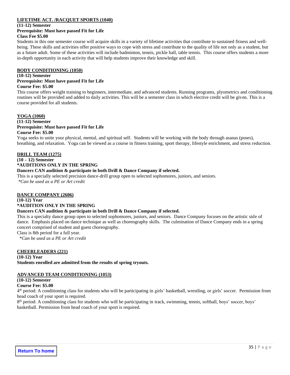#### **LIFETIME ACT. /RACQUET SPORTS (1040)**

**(11-12) Semester**

#### **Prerequisite: Must have passed Fit for Life Class Fee \$5.00**

Students in this one semester course will acquire skills in a variety of lifetime activities that contribute to sustained fitness and wellbeing. These skills and activities offer positive ways to cope with stress and contribute to the quality of life not only as a student, but as a future adult. Some of these activities will include badminton, tennis, pickle ball, table tennis. This course offers students a more in-depth opportunity in each activity that will help students improve their knowledge and skill.

#### **BODY CONDITIONING (1050)**

#### **(10-12) Semester**

#### **Prerequisite: Must have passed Fit for Life**

#### **Course Fee: \$5.00**

This course offers weight training to beginners, intermediate, and advanced students. Running programs, plyometrics and conditioning routines will be provided and added to daily activities. This will be a semester class in which elective credit will be given. This is a course provided for all students.

#### **YOGA (1060)**

#### **(11-12) Semester Prerequisite: Must have passed Fit for Life Course Fee: \$5.00**

Yoga seeks to unite your physical, mental, and spiritual self. Students will be working with the body through asanas (poses), breathing, and relaxation. Yoga can be viewed as a course in fitness training, sport therapy, lifestyle enrichment, and stress reduction.

#### **DRILL TEAM (1275)**

# **(10 – 12) Semester**

**\*AUDITIONS ONLY IN THE SPRING**

#### **Dancers CAN audition & participate in both Drill & Dance Company if selected.**

This is a specially selected precision dance-drill group open to selected sophomores, juniors, and seniors. *\*Can be used as a PE or Art credit*

#### **DANCE COMPANY (2606)**

#### **(10-12) Year**

#### **\*AUDITION ONLY IN THE SPRING**

#### **Dancers CAN audition & participate in both Drill & Dance Company if selected.**

This is a specialty dance group open to selected sophomores, juniors, and seniors. Dance Company focuses on the artistic side of dance. Emphasis placed on dance technique as well as choreography skills. The culmination of Dance Company ends in a spring concert comprised of student and guest choreography.

Class is 8th period for a full year.

*\*Can be used as a PE or Art credit*

#### **CHEERLEADERS (221)**

**(10-12) Year Students enrolled are admitted from the results of spring tryouts.**

#### **ADVANCED TEAM CONDITIONING (1053)**

### **(10-12) Semester**

**Course Fee: \$5.00**

4<sup>th</sup> period: A conditioning class for students who will be participating in girls' basketball, wrestling, or girls' soccer. Permission from head coach of your sport is required.

8<sup>th</sup> period: A conditioning class for students who will be participating in track, swimming, tennis, softball, boys' soccer, boys' basketball. Permission from head coach of your sport is required.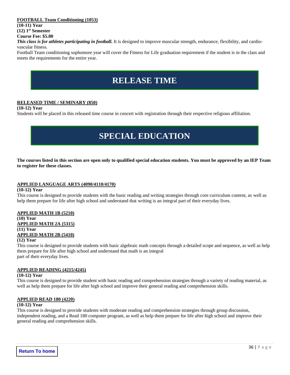#### **FOOTBALL Team Conditioning (1053)**

**(10-11) Year (12) 1 st Semester**

#### **Course Fee: \$5.00**

**This class is for athletes participating in football.** It is designed to improve muscular strength, endurance, flexibility, and cardiovascular fitness.

Football Team conditioning sophomore year will cover the Fitness for Life graduation requirement if the student is in the class and meets the requirements for the entire year.

# **RELEASE TIME**

#### <span id="page-35-0"></span>**RELEASED TIME / SEMINARY (850)**

#### **(10-12) Year**

<span id="page-35-1"></span>Students will be placed in this released time course in concert with registration through their respective religious affiliation.

# **SPECIAL EDUCATION**

**The courses listed in this section are open only to qualified special education students. You must be approved by an IEP Team to register for these classes.**

#### **APPLIED LANGUAGE ARTS (4090/4110/4170)**

#### **(10-12) Year**

This course is designed to provide students with the basic reading and writing strategies through core curriculum content, as well as help them prepare for life after high school and understand that writing is an integral part of their everyday lives.

#### **APPLIED MATH 1B (5210)**

#### **(10) Year APPLIED MATH 2A (5315) (11) Year APPLIED MATH 2B (5410)**

#### **(12) Year**

This course is designed to provide students with basic algebraic math concepts through a detailed scope and sequence, as well as help them prepare for life after high school and understand that math is an integral part of their everyday lives.

#### **APPLIED READING (4215/4245)**

#### **(10-12) Year**

This course is designed to provide student with basic reading and comprehension strategies through a variety of reading material, as well as help them prepare for life after high school and improve their general reading and comprehension skills.

#### **APPLIED READ 180 (4220)**

#### **(10-12) Year**

This course is designed to provide students with moderate reading and comprehension strategies through group discussion, independent reading, and a Read 180 computer program, as well as help them prepare for life after high school and improve their general reading and comprehension skills.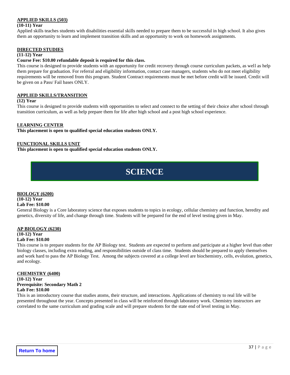#### **APPLIED SKILLS (503)**

#### **(10-11) Year**

Applied skills teaches students with disabilities essential skills needed to prepare them to be successful in high school. It also gives them an opportunity to learn and implement transition skills and an opportunity to work on homework assignments.

#### **DIRECTED STUDIES**

#### **(11-12) Year**

#### **Course Fee: \$10.00 refundable deposit is required for this class.**

This course is designed to provide students with an opportunity for credit recovery through course curriculum packets, as well as help them prepare for graduation. For referral and eligibility information, contact case managers, students who do not meet eligibility requirements will be removed from this program. Student Contract requirements must be met before credit will be issued. Credit will be given on a Pass/ Fail bases ONLY.

#### **APPLIED SKILLS/TRANSITION**

#### **(12) Year**

This course is designed to provide students with opportunities to select and connect to the setting of their choice after school through transition curriculum, as well as help prepare them for life after high school and a post high school experience.

#### **LEARNING CENTER**

**This placement is open to qualified special education students ONLY.**

#### **FUNCTIONAL SKILLS UNIT**

<span id="page-36-0"></span>**This placement is open to qualified special education students ONLY.** 

# **SCIENCE**

#### **BIOLOGY (6200)**

### **(10-12) Year**

#### **Lab Fee: \$10.00**

General Biology is a Core laboratory science that exposes students to topics in ecology, cellular chemistry and function, heredity and genetics, diversity of life, and change through time. Students will be prepared for the end of level testing given in May.

### **AP BIOLOGY (6230) (10-12) Year**

#### **Lab Fee: \$10.00**

This course is to prepare students for the AP Biology test. Students are expected to perform and participate at a higher level than other biology classes, including extra reading, and responsibilities outside of class time. Students should be prepared to apply themselves and work hard to pass the AP Biology Test. Among the subjects covered at a college level are biochemistry, cells, evolution, genetics, and ecology.

### **CHEMISTRY (6400)**

**(10-12) Year Prerequisite: Secondary Math 2 Lab Fee: \$10.00**

This is an introductory course that studies atoms, their structure, and interactions. Applications of chemistry to real life will be presented throughout the year. Concepts presented in class will be reinforced through laboratory work. Chemistry instructors are correlated to the same curriculum and grading scale and will prepare students for the state end of level testing in May.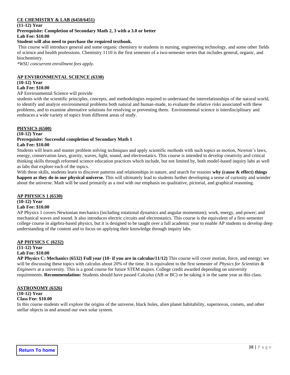#### **CE CHEMISTRY & LAB (6450/6451)**

**(11-12) Year Prerequisite: Completion of Secondary Math 2, 3 with a 3.0 or better Lab Fee: \$10.00**

### **Student will also need to purchase the required textbook.**

This course will introduce general and some organic chemistry to students in nursing, engineering technology, and some other fields of science and health professions. Chemistry 1110 is the first semester of a two-semester series that includes general, organic, and biochemistry.

*\*WSU concurrent enrollment fees apply.*

#### **AP ENVIRONMENTAL SCIENCE (6330)**

#### **(10-12) Year**

#### **Lab Fee: \$10.00**

AP Environmental Science will provide

students with the scientific principles, concepts, and methodologies required to understand the interrelationships of the natural world, to identify and analyze environmental problems both natural and human-made, to evaluate the relative risks associated with these problems, and to examine alternative solutions for resolving or preventing them. Environmental science is interdisciplinary and embraces a wide variety of topics from different areas of study.

#### **PHYSICS (6500)**

#### **(10-12) Year Prerequisite: Successful completion of Secondary Math 1 Lab Fee: \$10.00**

Students will learn and master problem solving techniques and apply scientific methods with such topics as motion, Newton's laws, energy, conservation laws, gravity, waves, light, sound, and electrostatics. This course is intended to develop creativity and critical thinking skills through reformed science education practices which include, but not limited by, both model-based inquiry labs as well as labs that explore each of the topics.

With these skills, students learn to discover patterns and relationships in nature, and search for reasons **why (cause & effect) things happen as they do in our physical universe.** This will ultimately lead to students further developing a sense of curiosity and wonder about the universe. Math will be used primarily as a tool with our emphasis on qualitative, pictorial, and graphical reasoning.

### **AP PHYSICS 1 (6530) (10-12) Year**

#### **Lab Fee: \$10.00**

AP Physics 1 covers Newtonian mechanics (including rotational dynamics and angular momentum); work, energy, and power; and mechanical waves and sound. It also introduces electric circuits and electrostatics. This course is the equivalent of a first-semester college course in algebra-based physics, but it is designed to be taught over a full academic year to enable AP students to develop deep understanding of the content and to focus on applying their knowledge through inquiry labs.

#### **AP PHYSICS C (6232)**

#### **(11-12) Year**

#### **Lab Fee: \$10.00**

**AP Physics C: Mechanics (6532) Full year (10- if you are in calculus/11/12)** This course will cover motion, force, and energy; we will be discussing these topics with calculus about 20% of the time. It is equivalent to the first semester of *Physics for Scientists & Engineers* at a university. This is a good course for future STEM majors. College credit awarded depending on university requirements. **Recommendation:** Students should have passed Calculus (AB or BC) or be taking it in the same year as this class*.* 

#### **ASTRONOMY (6326)**

#### **(10-12) Year**

#### **Class Fee: \$10.00**

In this course students will explore the origins of the universe, black holes, alien planet habitability, supernovas, comets, and other stellar objects in and around our own solar system.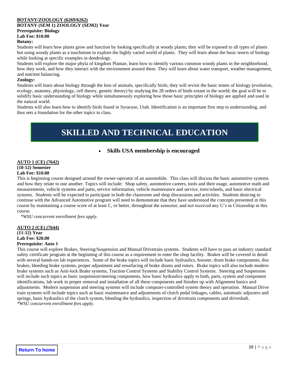#### **BOTANY/ZOOLOGY (6269/6262)**

#### **BOTANY (SEM 1) ZOOLOGY (SEM2) Year Prerequisite: Biology Lab Fee: \$10.00**

#### **Botany:**

Students will learn how plants grow and function by looking specifically at woody plants; they will be exposed to all types of plants but using woody plants as a touchstone to explore the highly varied world of plants. They will learn about the basic tenets of biology while looking at specific examples in dendrology.

Students will explore the major phyla of kingdom Plantae, learn how to identify various common woody plants in the neighborhood, how they work, and how they interact with the environment around them. They will learn about water transport, weather management, and nutrient balancing.

#### **Zoology:**

Students will learn about biology through the lens of animals, specifically birds; they will revisit the basic tenets of biology (evolution, ecology, anatomy, physiology, cell theory, genetic theory) by studying the 28 orders of birds extant in the world; the goal will be to solidify basic understanding of biology while simultaneously exploring how those basic principles of biology are applied and used in the natural world.

Students will also learn how to identify birds found in Syracuse, Utah. Identification is an important first step to understanding, and thus sets a foundation for the other topics in class.

# **SKILLED AND TECHNICAL EDUCATION**

### • **Skills USA membership is encouraged**

### <span id="page-38-0"></span>**AUTO 1 (CE) (7642)**

#### **(10-12) Semester Lab Fee: \$10.00**

This is beginning course designed around the owner-operator of an automobile. This class will discuss the basic automotive systems and how they relate to one another. Topics will include: Shop safety, automotive careers, tools and their usage, automotive math and measurements, vehicle systems and parts, service information, vehicle maintenance and service, tires/wheels, and basic electrical systems. Students will be expected to participate in both the classroom and shop discussions and activities. Students desiring to continue with the Advanced Automotive program will need to demonstrate that they have understood the concepts presented in this course by maintaining a course score of at least C, or better, throughout the semester, and not received any U's in Citizenship in this course.

*\*WSU concurrent enrollment fees apply.*

#### **AUTO 2 (CE) (7644) (11-12) Year Lab Fee: \$20.00**

#### **Prerequisite: Auto 1**

This course will explore Brakes, Steering/Suspension and Manual Drivetrain systems. Students will have to pass an industry standard safety certificate program at the beginning of this course as a requirement to enter the shop facility. Brakes will be covered in detail with several hands-on lab experiences. Some of the brake topics will include basic hydraulics, booster, drum brake components, disc brakes, bleeding brake systems, proper adjustment and resurfacing of brake drums and rotors. Brake topics will also include modern brake systems such as Anti-lock Brake systems, Traction Control Systems and Stability Control Systems. Steering and Suspension will include such topics as basic suspension/steering components, how basic hydraulics apply to both, parts, system and component identifications, lab work in proper removal and installation of all these components and finishes up with Alignment basics and adjustments. Modern suspension and steering systems will include computer-controlled system theory and operation. Manual Drive train systems will include topics such as basic maintenance and adjustments of clutch pedal linkages, cables, automatic adjusters and springs, basic hydraulics of the clutch system, bleeding the hydraulics, inspection of drivetrain components and driveshaft. *\*WSU concurrent enrollment fees apply.*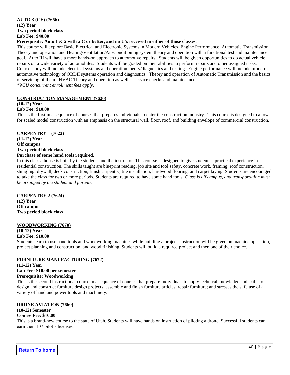#### **AUTO 3 (CE) (7656)**

**(12) Year Two period block class Lab Fee: \$40.00**

#### **Prerequisite: Auto 1 & 2 with a C or better, and no U's received in either of those classes**.

This course will explore Basic Electrical and Electronic Systems in Modern Vehicles, Engine Performance, Automatic Transmission Theory and operation and Heating/Ventilation/Air/Conditioning system theory and operation with a functional test and maintenance goal. Auto III will have a more hands-on approach to automotive repairs. Students will be given opportunities to do actual vehicle repairs on a wide variety of automobiles. Students will be graded on their abilities to perform repairs and other assigned tasks. Course study will include electrical systems and operation theory/diagnostics and testing. Engine performance will include modern automotive technology of OBDII systems operation and diagnostics. Theory and operation of Automatic Transmission and the basics of servicing of them. HVAC Theory and operation as well as service checks and maintenance. *\*WSU concurrent enrollment fees apply.*

**CONSTRUCTION MANAGEMENT (7620)**

#### **(10-12) Year**

#### **Lab Fee: \$10.00**

This is the first in a sequence of courses that prepares individuals to enter the construction industry. This course is designed to allow for scaled model construction with an emphasis on the structural wall, floor, roof, and building envelope of commercial construction.

#### **CARPENTRY 1 (7622)**

**(11-12) Year Off campus Two period block class Purchase of some hand tools required.**

In this class a house is built by the students and the instructor. This course is designed to give students a practical experience in residential construction. The skills taught are blueprint reading, job site and tool safety, concrete work, framing, roof construction, shingling, drywall, deck construction, finish carpentry, tile installation, hardwood flooring, and carpet laying. Students are encouraged to take the class for two or more periods. Students are required to have some hand tools. *Class is off campus, and transportation must be arranged by the student and parents.*

#### **CARPENTRY 2 (7624)**

**(12) Year Off campus Two period block class**

#### **WOODWORKING (7670)**

#### **(10-12) Year**

#### **Lab Fee: \$10.00**

Students learn to use hand tools and woodworking machines while building a project. Instruction will be given on machine operation, project planning and construction, and wood finishing. Students will build a required project and then one of their choice.

#### **FURNITURE MANUFACTURING (7672)**

**(11-12) Year Lab Fee: \$10.00 per semester Prerequisite: Woodworking**

This is the second instructional course in a sequence of courses that prepare individuals to apply technical knowledge and skills to design and construct furniture design projects, assemble and finish furniture articles, repair furniture; and stresses the safe use of a variety of hand and power tools and machinery.

#### **DRONE AVIATION (7660)**

#### **(10-12) Semester**

#### **Course Fee: \$10.00**

This is a brand-new course to the state of Utah. Students will have hands on instruction of piloting a drone. Successful students can earn their 107 pilot's licenses.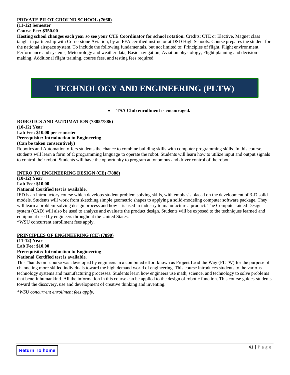#### **PRIVATE PILOT GROUND SCHOOL (7660)**

### **(11-12) Semester**

#### **Course Fee: \$350.00**

**Hosting school changes each year so see your CTE Coordinator for school rotation.** Credits: CTE or Elective. Magnet class taught in partnership with Cornerstone Aviation, by an FFA certified instructor at DSD High Schools. Course prepares the student for the national airspace system. To include the following fundamentals, but not limited to: Principles of flight, Flight environment, Performance and systems, Meteorology and weather data, Basic navigation, Aviation physiology, Flight planning and decisionmaking. Additional flight training, course fees, and testing fees required.

# **TECHNOLOGY AND ENGINEERING (PLTW)**

#### • **TSA Club enrollment is encouraged.**

#### <span id="page-40-0"></span>**ROBOTICS AND AUTOMATION (7885/7886)**

#### **(10-12) Year Lab Fee: \$10.00 per semester Prerequisite: Introduction to Engineering (Can be taken consecutively)**

Robotics and Automation offers students the chance to combine building skills with computer programming skills. In this course, students will learn a form of C programming language to operate the robot. Students will learn how to utilize input and output signals to control their robot. Students will have the opportunity to program autonomous and driver control of the robot.

#### **INTRO TO ENGINEERING DESIGN (CE) (7888)**

#### **(10-12) Year Lab Fee: \$10.00**

### **National Certified test is available.**

IED is an introductory course which develops student problem solving skills, with emphasis placed on the development of 3-D solid models. Students will work from sketching simple geometric shapes to applying a solid-modeling computer software package. They will learn a problem-solving design process and how it is used in industry to manufacture a product. The Computer-aided Design system (CAD) will also be used to analyze and evaluate the product design. Students will be exposed to the techniques learned and equipment used by engineers throughout the United States.

\*WSU concurrent enrollment fees apply.

#### **PRINCIPLES OF ENGINEERING (CE) (7890)**

#### **(11-12) Year Lab Fee: \$10.00 Prerequisite: Introduction to Engineering National Certified test is available.**

This "hands-on" course was developed by engineers in a combined effort known as Project Lead the Way (PLTW) for the purpose of channeling more skilled individuals toward the high demand world of engineering. This course introduces students to the various technology systems and manufacturing processes. Students learn how engineers use math, science, and technology to solve problems that benefit humankind. All the information in this course can be applied to the design of robotic function. This course guides students toward the discovery, use and development of creative thinking and inventing.

*\*WSU concurrent enrollment fees apply.*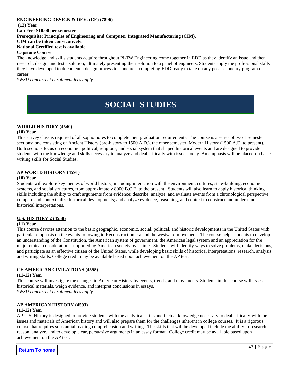#### **ENGINEERING DESIGN & DEV. (CE) (7896)**

**(12) Year**

**Lab Fee: \$10.00 per semester**

**Prerequisite: Principles of Engineering and Computer Integrated Manufacturing (CIM).** 

**CIM can be taken consecutively.**

#### **National Certified test is available.**

#### **Capstone Course**

The knowledge and skills students acquire throughout PLTW Engineering come together in EDD as they identify an issue and then research, design, and test a solution, ultimately presenting their solution to a panel of engineers. Students apply the professional skills they have developed to document a design process to standards, completing EDD ready to take on any post-secondary program or career.

<span id="page-41-0"></span>*\*WSU concurrent enrollment fees apply.*

# **SOCIAL STUDIES**

#### **WORLD HISTORY (4540)**

#### **(10) Year**

This survey class is required of all sophomores to complete their graduation requirements. The course is a series of two 1 semester sections; one consisting of Ancient History (pre-history to 1500 A.D.), the other semester, Modern History (1500 A.D. to present). Both sections focus on economic, political, religious, and social system that shaped historical events and are designed to provide students with the knowledge and skills necessary to analyze and deal critically with issues today. An emphasis will be placed on basic writing skills for Social Studies.

#### **AP WORLD HISTORY (4591)**

#### **(10) Year**

Students will explore key themes of world history, including interaction with the environment, cultures, state-building, economic systems, and social structures, from approximately 8000 B.C.E. to the present. Students will also learn to apply historical thinking skills including the ability to craft arguments from evidence; describe, analyze, and evaluate events from a chronological perspective; compare and contextualize historical developments; and analyze evidence, reasoning, and context to construct and understand historical interpretations.

#### **U.S. HISTORY 2 (4550)**

#### **(11) Year**

This course devotes attention to the basic geographic, economic, social, political, and historic developments in the United States with particular emphasis on the events following to Reconstruction era and the westward movement. The course helps students to develop an understanding of the Constitution, the American system of government, the American legal system and an appreciation for the major ethical considerations supported by American society over time. Students will identify ways to solve problems, make decisions, and participate as an effective citizen of the United States, while developing basic skills of historical interpretations, research, analysis, and writing skills. College credit may be available based upon achievement on the AP test.

#### **CE AMERICAN CIVILATIONS (4555)**

#### **(11-12) Year**

This course will investigate the changes in American History by events, trends, and movements. Students in this course will assess historical materials, weigh evidence, and interpret conclusions in essays.

*\*WSU concurrent enrollment fees apply.*

#### **AP AMERICAN HISTORY (4593)**

#### **(11-12) Year**

AP U.S. History is designed to provide students with the analytical skills and factual knowledge necessary to deal critically with the issues and materials of American history and will also prepare them for the challenges inherent in college courses. It is a rigorous course that requires substantial reading comprehension and writing. The skills that will be developed include the ability to research, reason, analyze, and to develop clear, persuasive arguments in an essay format. College credit may be available based upon achievement on the AP test.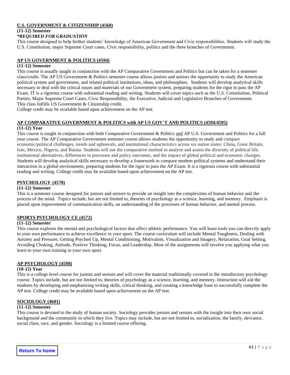#### **U.S. GOVERNMENT & CITIZENSHIP (4560)**

#### **(11-12) Semester**

#### *\*REQUIRED FOR GRADUATION*

This course designed to help further students' knowledge of American Government and Civic responsibilities. Students will study the U.S. Constitution, major Supreme Court cases, Civic responsibility, politics and the three branches of Government.

#### **AP US GOVERNMENT & POLITICS (4594)**

#### **(11-12) Semester**

This course is usually taught in conjunction with the AP Comparative Government and Politics but can be taken for a semester class/credit. The AP US Government & Politics semester course allows juniors and seniors the opportunity to study the American political system and government, and related political institutions, ideas, and philosophies. Students will develop analytical skills necessary to deal with the critical issues and materials of our Government system, preparing students for the rigor to pass the AP Exam. IT is a rigorous course with substantial reading and writing. Students will cover topics such as the U.S. Constitution, Political Parties, Major Supreme Court Cases, Civic Responsibility, the Executive, Judicial and Legislative Branches of Government. This class fulfills US Government & Citizenship credit.

College credit may be available based upon achievement on the AP test.

#### **AP COMPARATIVE GOVERNMENT & POLITICS with AP US GOV'T AND POLITICS (4594/4595)**

#### **(11-12) Year**

This course is taught in conjunction with both Comparative Government & Politics and AP U.S. Government and Politics for a full year course. The AP Comparative Government semester course allows students the opportunity to study and compare economic/political challenges, trends and upheavals, and institutional characteristics across six nation states: China, Great Britain, Iran, Mexico, Nigeria, and Russia. Students will use the comparative method to analyze and assess the diversity of political life, institutional alternatives, differences in processes and policy outcomes, and the impact of global political and economic changes. Students will develop analytical skills necessary to develop a framework to compare modern political systems and understand their interaction in a global environment, preparing students for the rigor to pass the AP Exam. It is a rigorous course with substantial reading and writing. College credit may be available based upon achievement on the AP test.

#### **PSYCHOLOGY (4570)**

#### **(11-12) Semester**

This is a semester course designed for juniors and seniors to provide an insight into the complexities of human behavior and the process of the mind. Topics include, but are not limited to, theories of psychology as a science, learning, and memory. Emphasis is placed upon improvement of communication skills, an understanding of the processes of human behavior, and mental process.

#### **SPORTS PSYCHOLOGY CE (4572)**

#### **(11-12) Semester**

This course explores the mental and psychological factors that affect athletic performance. You will learn tools you can directly apply to your own performance to achieve excellence in your sport. The course curriculum will include Mental Toughness, Dealing with Anxiety and Pressure, Getting Psyched Up, Mental Conditioning, Motivation, Visualization and Imagery, Relaxation, Goal Setting, Avoiding Choking, Attitude, Positive Thinking, Focus, and Leadership. Most of the assignments will involve you applying what you learn to your own training in your own sport.

#### **AP PSYCHOLOGY (4598)**

#### **(10-12) Year**

This is a college level course for juniors and seniors and will cover the material traditionally covered in the introductory psychology course. Topics include, but are not limited to, theories of psychology as a science, learning, and memory. Instruction will aid the students by developing and emphasizing writing skills, critical thinking, and creating a knowledge base to successfully complete the AP test. College credit may be available based upon achievement on the AP test.

#### **SOCIOLOGY (4601)**

#### **(11-12) Semester**

This course is devoted to the study of human society. Sociology provides juniors and seniors with the insight into their own social background and the community in which they live. Topics may include, but are not limited to, socialization, the family, deviance, social class, race, and gender. Sociology is a limited course offering.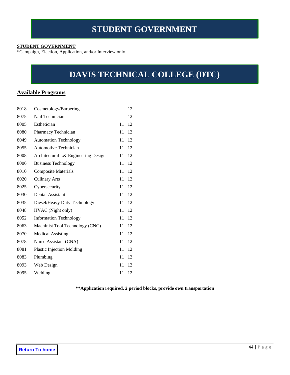#### <span id="page-43-0"></span>**STUDENT GOVERNMENT**

\*Campaign, Election, Application, and/or Interview only.

# **DAVIS TECHNICAL COLLEGE (DTC)**

### <span id="page-43-1"></span>**Available Programs**

| 8018 | Cosmetology/Barbering               |    | 12 |
|------|-------------------------------------|----|----|
| 8075 | Nail Technician                     |    | 12 |
| 8005 | Esthetician                         | 11 | 12 |
| 8080 | Pharmacy Technician                 | 11 | 12 |
| 8049 | <b>Automation Technology</b>        | 11 | 12 |
| 8055 | Automotive Technician               | 11 | 12 |
| 8008 | Architectural L& Engineering Design | 11 | 12 |
| 8006 | <b>Business Technology</b>          | 11 | 12 |
| 8010 | <b>Composite Materials</b>          | 11 | 12 |
| 8020 | <b>Culinary Arts</b>                | 11 | 12 |
| 8025 | Cybersecurity                       | 11 | 12 |
| 8030 | Dental Assistant                    | 11 | 12 |
| 8035 | Diesel/Heavy Duty Technology        | 11 | 12 |
| 8048 | HVAC (Night only)                   | 11 | 12 |
| 8052 | <b>Information Technology</b>       | 11 | 12 |
| 8063 | Machinist Tool Technology (CNC)     | 11 | 12 |
| 8070 | <b>Medical Assisting</b>            | 11 | 12 |
| 8078 | Nurse Assistant (CNA)               | 11 | 12 |
| 8081 | <b>Plastic Injection Molding</b>    | 11 | 12 |
| 8083 | Plumbing                            | 11 | 12 |
| 8093 | Web Design                          | 11 | 12 |
| 8095 | Welding                             | 11 | 12 |

**\*\*Application required, 2 period blocks, provide own transportation**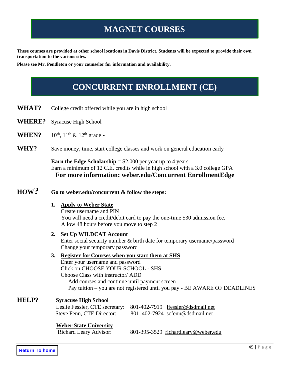# **MAGNET COURSES**

<span id="page-44-0"></span>**These courses are provided at other school locations in Davis District. Students will be expected to provide their own transportation to the various sites.**

<span id="page-44-1"></span>**Please see Mr. Pendleton or your counselor for information and availability.**

# **CONCURRENT ENROLLMENT (CE)**

- WHAT? College credit offered while you are in high school
- **WHERE?** Syracuse High School
- **WHEN?**  $10^{th}$ ,  $11^{th}$  &  $12^{th}$  grade -
- **WHY?** Save money, time, start college classes and work on general education early

**Earn the Edge Scholarship** =  $$2,000$  per year up to 4 years Earn a minimum of 12 C.E. credits while in high school with a 3.0 college GPA **For more information: weber.edu/Concurrent EnrollmentEdge**

# **HOW? Go to weber.edu/concurrent & follow the steps:**

#### **1. Apply to Weber State**

Create username and PIN You will need a credit/debit card to pay the one-time \$30 admission fee. Allow 48 hours before you move to step 2

**2. Set Up WILDCAT Account** Enter social security number & birth date for temporary username/password Change your temporary password

### **3. Register for Courses when you start them at SHS** Enter your username and password Click on CHOOSE YOUR SCHOOL - SHS Choose Class with instructor/ ADD

Add courses and continue until payment screen Pay tuition – you are not registered until you pay - BE AWARE OF DEADLINES

### **HELP? Syracuse High School**

| Leslie Fessler, CTE secretary: 801-402-7919 lfessler@dsdmail.net |                                   |
|------------------------------------------------------------------|-----------------------------------|
| Steve Fenn, CTE Director:                                        | $801-402-7924$ scfenn@dsdmail.net |

#### **Weber State University**

Richard Leary Advisor:801-395-3529[richardleary@weber.edu](mailto:richardleary@weber.edu)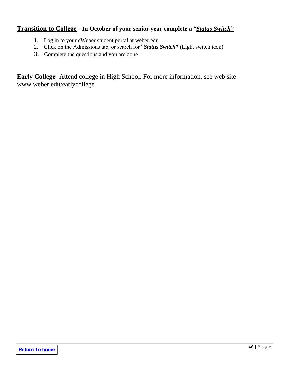# **Transition to College - In October of your senior year complete a** "*Status Switch***"**

- 1. Log in to your eWeber student portal at weber.edu
- 2. Click on the Admissions tab, or search for "*Status Switch***"** (Light switch icon)
- 3. Complete the questions and you are done

**Early College**- Attend college in High School. For more information, see web site www.weber.edu/earlycollege